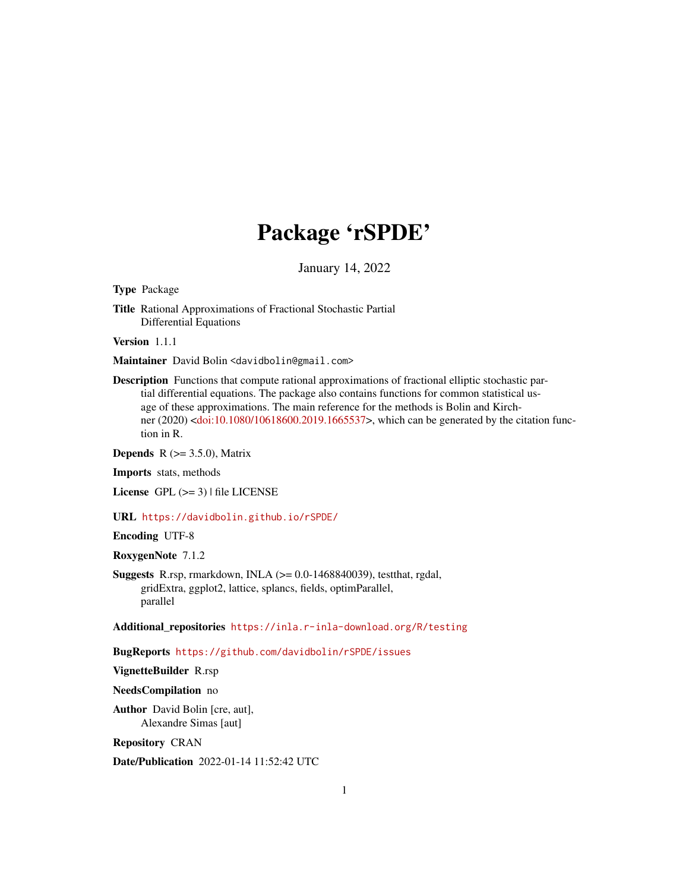# Package 'rSPDE'

January 14, 2022

<span id="page-0-0"></span>Type Package

Title Rational Approximations of Fractional Stochastic Partial Differential Equations

Version 1.1.1

Maintainer David Bolin <davidbolin@gmail.com>

Description Functions that compute rational approximations of fractional elliptic stochastic partial differential equations. The package also contains functions for common statistical usage of these approximations. The main reference for the methods is Bolin and Kirchner (2020) [<doi:10.1080/10618600.2019.1665537>](https://doi.org/10.1080/10618600.2019.1665537), which can be generated by the citation function in R.

**Depends** R  $(>= 3.5.0)$ , Matrix

Imports stats, methods

License GPL  $(>= 3)$  | file LICENSE

URL <https://davidbolin.github.io/rSPDE/>

Encoding UTF-8

RoxygenNote 7.1.2

**Suggests** R.rsp, rmarkdown, INLA  $(>= 0.0 - 1468840039)$ , testthat, rgdal, gridExtra, ggplot2, lattice, splancs, fields, optimParallel, parallel

Additional\_repositories <https://inla.r-inla-download.org/R/testing>

BugReports <https://github.com/davidbolin/rSPDE/issues>

VignetteBuilder R.rsp

NeedsCompilation no

Author David Bolin [cre, aut], Alexandre Simas [aut]

Repository CRAN

Date/Publication 2022-01-14 11:52:42 UTC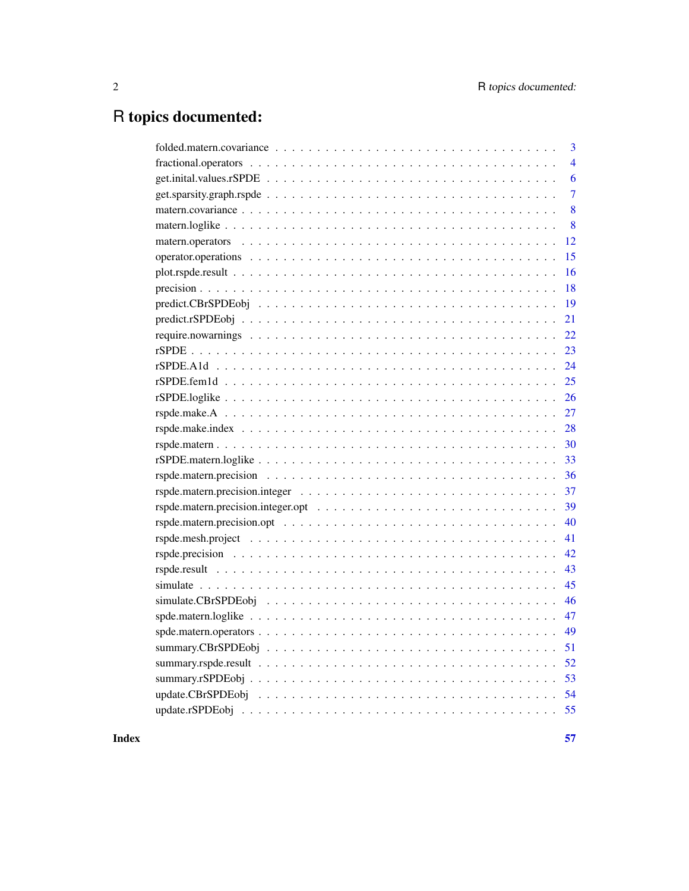# R topics documented:

| 3              |
|----------------|
| $\overline{4}$ |
| 6              |
| $\overline{7}$ |
| 8              |
| 8              |
| 12             |
| 15             |
| 16             |
| 18             |
| 19             |
| 21             |
| 22             |
| 23             |
| 24             |
| 25             |
| 26             |
| 27             |
| 28             |
| 30             |
| 33             |
| 36             |
| 37             |
| 39             |
| 40             |
| 41             |
| 42             |
| 43             |
| 45             |
| 46             |
| 47             |
| 49             |
| 51             |
| 52             |
| 53             |
| 54             |
|                |
|                |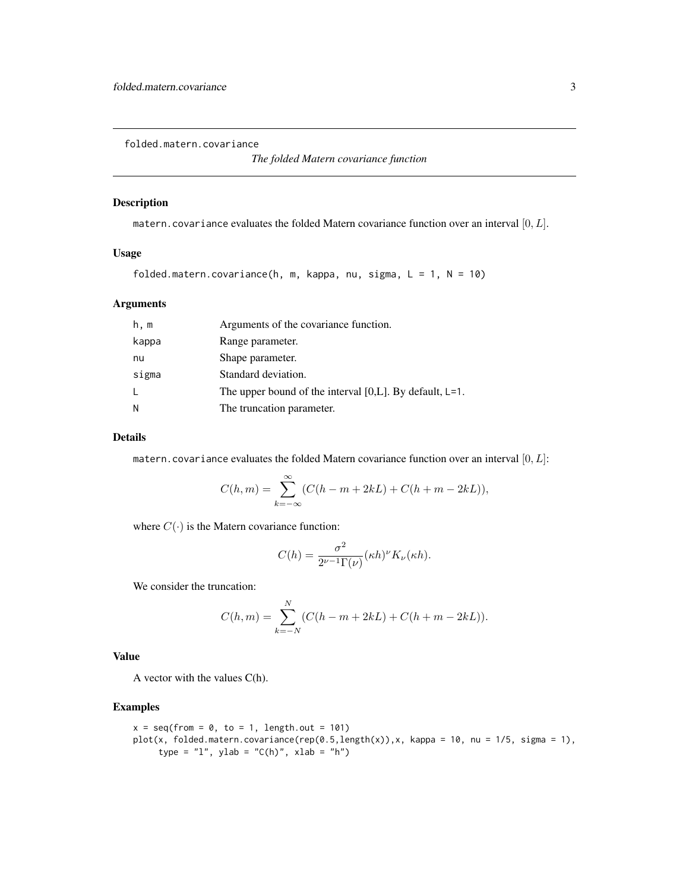<span id="page-2-0"></span>folded.matern.covariance

# Description

matern.covariance evaluates the folded Matern covariance function over an interval  $[0, L]$ .

# Usage

```
folded.matern.covariance(h, m, kappa, nu, sigma, L = 1, N = 10)
```
# Arguments

| h, m  | Arguments of the covariance function.                         |
|-------|---------------------------------------------------------------|
| kappa | Range parameter.                                              |
| nu    | Shape parameter.                                              |
| sigma | Standard deviation.                                           |
| L     | The upper bound of the interval $[0,L]$ . By default, $L=1$ . |
| N     | The truncation parameter.                                     |

#### Details

matern.covariance evaluates the folded Matern covariance function over an interval  $[0, L]$ :

$$
C(h, m) = \sum_{k=-\infty}^{\infty} (C(h - m + 2kL) + C(h + m - 2kL)),
$$

where  $C(\cdot)$  is the Matern covariance function:

$$
C(h) = \frac{\sigma^2}{2^{\nu-1}\Gamma(\nu)} (\kappa h)^{\nu} K_{\nu}(\kappa h).
$$

We consider the truncation:

$$
C(h, m) = \sum_{k=-N}^{N} (C(h - m + 2kL) + C(h + m - 2kL)).
$$

# Value

A vector with the values C(h).

```
x = seq(from = 0, to = 1, length.out = 101)plot(x, folded.matern.covariance(rep(0.5,length(x)), x, kappa = 10, nu = 1/5, sigma = 1),
     type = "1", ylab = "C(h)", xlab = "h")
```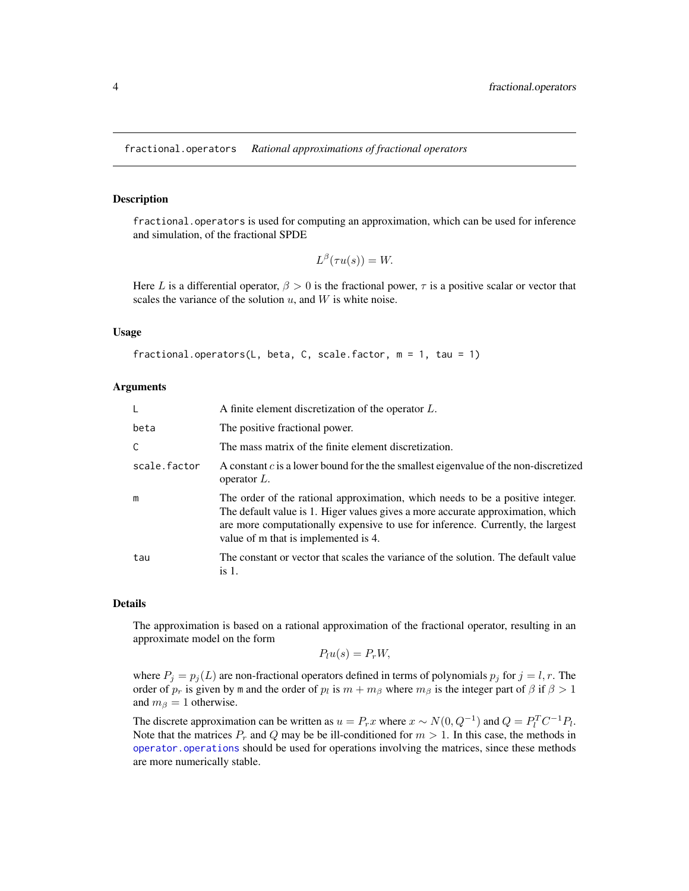<span id="page-3-1"></span><span id="page-3-0"></span>fractional.operators *Rational approximations of fractional operators*

#### Description

fractional.operators is used for computing an approximation, which can be used for inference and simulation, of the fractional SPDE

```
L^{\beta}(\tau u(s)) = W.
```
Here L is a differential operator,  $\beta > 0$  is the fractional power,  $\tau$  is a positive scalar or vector that scales the variance of the solution  $u$ , and  $W$  is white noise.

#### Usage

```
fractional.operators(L, beta, C, scale.factor, m = 1, tau = 1)
```
#### Arguments

|              | A finite element discretization of the operator L.                                                                                                                                                                                                                                           |
|--------------|----------------------------------------------------------------------------------------------------------------------------------------------------------------------------------------------------------------------------------------------------------------------------------------------|
| beta         | The positive fractional power.                                                                                                                                                                                                                                                               |
| C            | The mass matrix of the finite element discretization.                                                                                                                                                                                                                                        |
| scale.factor | A constant c is a lower bound for the the smallest eigenvalue of the non-discretized<br>operator $L$ .                                                                                                                                                                                       |
| m            | The order of the rational approximation, which needs to be a positive integer.<br>The default value is 1. Higer values gives a more accurate approximation, which<br>are more computationally expensive to use for inference. Currently, the largest<br>value of m that is implemented is 4. |
| tau          | The constant or vector that scales the variance of the solution. The default value<br>is 1.                                                                                                                                                                                                  |

#### Details

The approximation is based on a rational approximation of the fractional operator, resulting in an approximate model on the form

$$
P_l u(s) = P_r W,
$$

where  $P_j = p_j(L)$  are non-fractional operators defined in terms of polynomials  $p_j$  for  $j = l, r$ . The order of  $p_r$  is given by m and the order of  $p_l$  is  $m + m_\beta$  where  $m_\beta$  is the integer part of  $\beta$  if  $\beta > 1$ and  $m_\beta = 1$  otherwise.

The discrete approximation can be written as  $u = P_rx$  where  $x \sim N(0, Q^{-1})$  and  $Q = P_l^T C^{-1} P_l$ . Note that the matrices  $P_r$  and Q may be be ill-conditioned for  $m > 1$ . In this case, the methods in [operator.operations](#page-14-1) should be used for operations involving the matrices, since these methods are more numerically stable.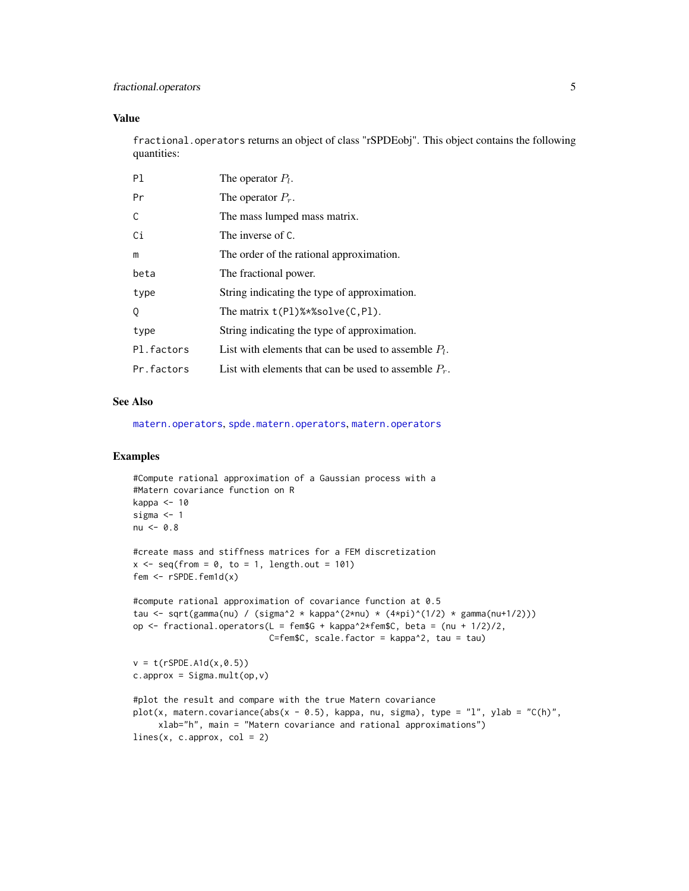# <span id="page-4-0"></span>fractional.operators 5

# Value

fractional.operators returns an object of class "rSPDEobj". This object contains the following quantities:

| P1         | The operator $P_l$ .                                    |
|------------|---------------------------------------------------------|
| Pr         | The operator $P_r$ .                                    |
| C          | The mass lumped mass matrix.                            |
| Ci         | The inverse of C.                                       |
| m          | The order of the rational approximation.                |
| beta       | The fractional power.                                   |
| type       | String indicating the type of approximation.            |
| 0          | The matrix $t(Pl)$ %*%solve $(C, Pl)$ .                 |
| type       | String indicating the type of approximation.            |
| Pl.factors | List with elements that can be used to assemble $P_l$ . |
| Pr.factors | List with elements that can be used to assemble $P_r$ . |

# See Also

[matern.operators](#page-11-1), [spde.matern.operators](#page-48-1), [matern.operators](#page-11-1)

```
#Compute rational approximation of a Gaussian process with a
#Matern covariance function on R
kappa <- 10
sigma <- 1
nu < -0.8#create mass and stiffness matrices for a FEM discretization
x \leq - seq(from = 0, to = 1, length.out = 101)
fem <- rSPDE.fem1d(x)
#compute rational approximation of covariance function at 0.5
tau <- sqrt(gamma(nu) / (sigma^2 * kappa^(2*nu) * (4*pi)^(1/2) * gamma(nu+1/2)))
op \le fractional.operators(L = fem$G + kappa^2*fem$C, beta = (nu + 1/2)/2,
                           C=fem$C, scale.factor = kappa^2, tau = tau)
v = t(rSPDE.A1d(x, 0.5))c.append = Sigma.mult(op, v)#plot the result and compare with the true Matern covariance
plot(x, matern.covariance(abs(x - 0.5), kappa, nu, sigma), type = "l", ylab = "C(h)",
     xlab="h", main = "Matern covariance and rational approximations")
lines(x, c.append, col = 2)
```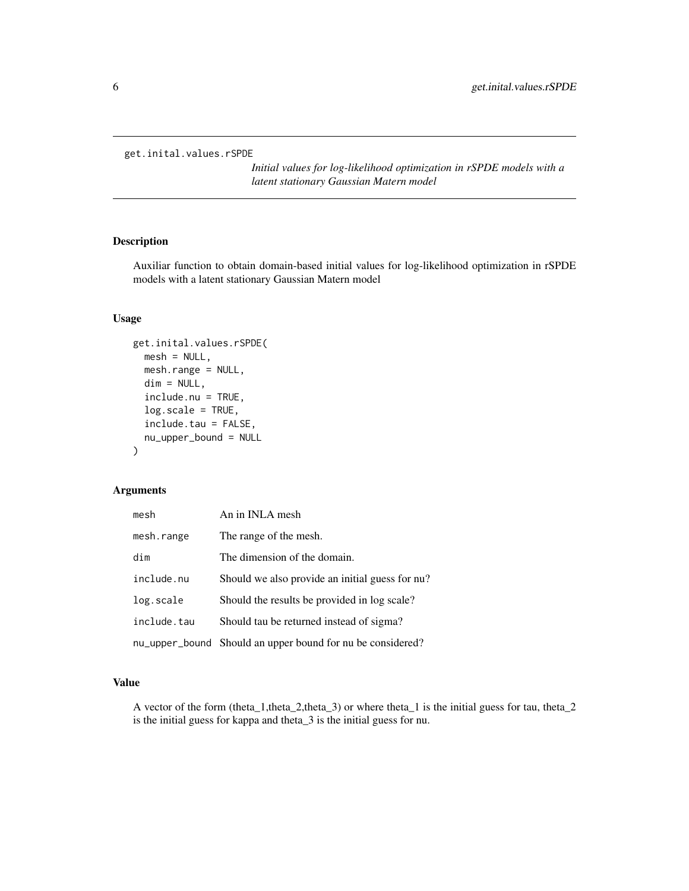```
get.inital.values.rSPDE
```
*Initial values for log-likelihood optimization in rSPDE models with a latent stationary Gaussian Matern model*

# Description

Auxiliar function to obtain domain-based initial values for log-likelihood optimization in rSPDE models with a latent stationary Gaussian Matern model

# Usage

```
get.inital.values.rSPDE(
  mesh = NULL,mesh.range = NULL,
  dim = NULL,
  include.nu = TRUE,
  log.scale = TRUE,
  include.tau = FALSE,
  nu_upper_bound = NULL
)
```
# Arguments

| mesh        | An in INLA mesh                                            |
|-------------|------------------------------------------------------------|
| mesh.range  | The range of the mesh.                                     |
| dim         | The dimension of the domain.                               |
| include.nu  | Should we also provide an initial guess for nu?            |
| log.scale   | Should the results be provided in log scale?               |
| include.tau | Should tau be returned instead of sigma?                   |
|             | nu_upper_bound Should an upper bound for nu be considered? |

# Value

A vector of the form (theta\_1,theta\_2,theta\_3) or where theta\_1 is the initial guess for tau, theta\_2 is the initial guess for kappa and theta\_3 is the initial guess for nu.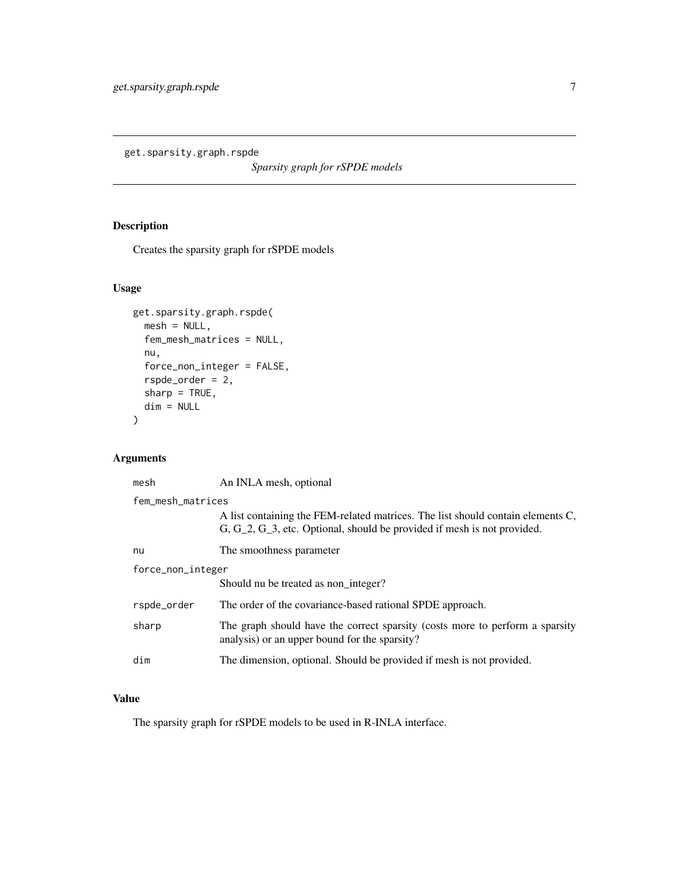<span id="page-6-0"></span>get.sparsity.graph.rspde

*Sparsity graph for rSPDE models*

# Description

Creates the sparsity graph for rSPDE models

# Usage

```
get.sparsity.graph.rspde(
 mesh = NULL,fem_mesh_matrices = NULL,
 nu,
 force_non_integer = FALSE,
  rspde_order = 2,
 sharp = TRUE,
 dim = NULL
\mathcal{L}
```
# Arguments

| mesh              | An INLA mesh, optional                                                                                                                                        |  |
|-------------------|---------------------------------------------------------------------------------------------------------------------------------------------------------------|--|
| fem_mesh_matrices |                                                                                                                                                               |  |
|                   | A list containing the FEM-related matrices. The list should contain elements C,<br>$G, G_2, G_3$ , etc. Optional, should be provided if mesh is not provided. |  |
| nu                | The smoothness parameter                                                                                                                                      |  |
| force_non_integer |                                                                                                                                                               |  |
|                   | Should nu be treated as non integer?                                                                                                                          |  |
| rspde_order       | The order of the covariance-based rational SPDE approach.                                                                                                     |  |
| sharp             | The graph should have the correct sparsity (costs more to perform a sparsity<br>analysis) or an upper bound for the sparsity?                                 |  |
| dim               | The dimension, optional. Should be provided if mesh is not provided.                                                                                          |  |

# Value

The sparsity graph for rSPDE models to be used in R-INLA interface.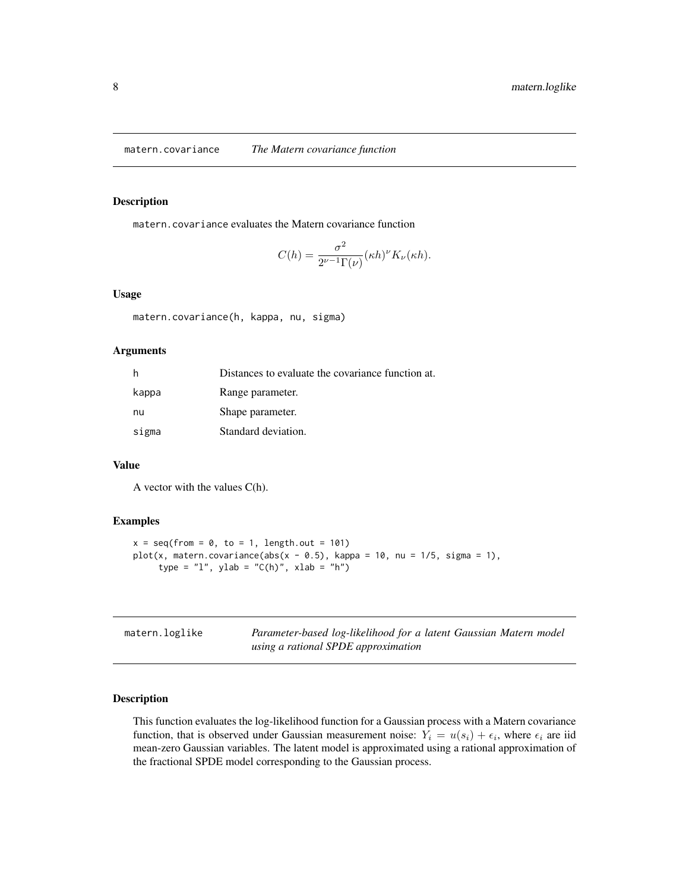<span id="page-7-0"></span>matern.covariance *The Matern covariance function*

#### Description

matern.covariance evaluates the Matern covariance function

$$
C(h) = \frac{\sigma^2}{2^{\nu-1}\Gamma(\nu)} (\kappa h)^{\nu} K_{\nu}(\kappa h).
$$

#### Usage

```
matern.covariance(h, kappa, nu, sigma)
```
#### Arguments

| h     | Distances to evaluate the covariance function at. |
|-------|---------------------------------------------------|
| kappa | Range parameter.                                  |
| nu    | Shape parameter.                                  |
| sigma | Standard deviation.                               |

# Value

A vector with the values C(h).

# Examples

```
x = \text{seq}(\text{from} = 0, \text{to} = 1, \text{length.out} = 101)plot(x, matern.covariance(abs(x - 0.5), kappa = 10, nu = 1/5, sigma = 1),
      type = "1", ylab = "C(h)", xlab = "h")
```
<span id="page-7-1"></span>

| matern.loglike | Parameter-based log-likelihood for a latent Gaussian Matern model |
|----------------|-------------------------------------------------------------------|
|                | using a rational SPDE approximation                               |

# Description

This function evaluates the log-likelihood function for a Gaussian process with a Matern covariance function, that is observed under Gaussian measurement noise:  $Y_i = u(s_i) + \epsilon_i$ , where  $\epsilon_i$  are iid mean-zero Gaussian variables. The latent model is approximated using a rational approximation of the fractional SPDE model corresponding to the Gaussian process.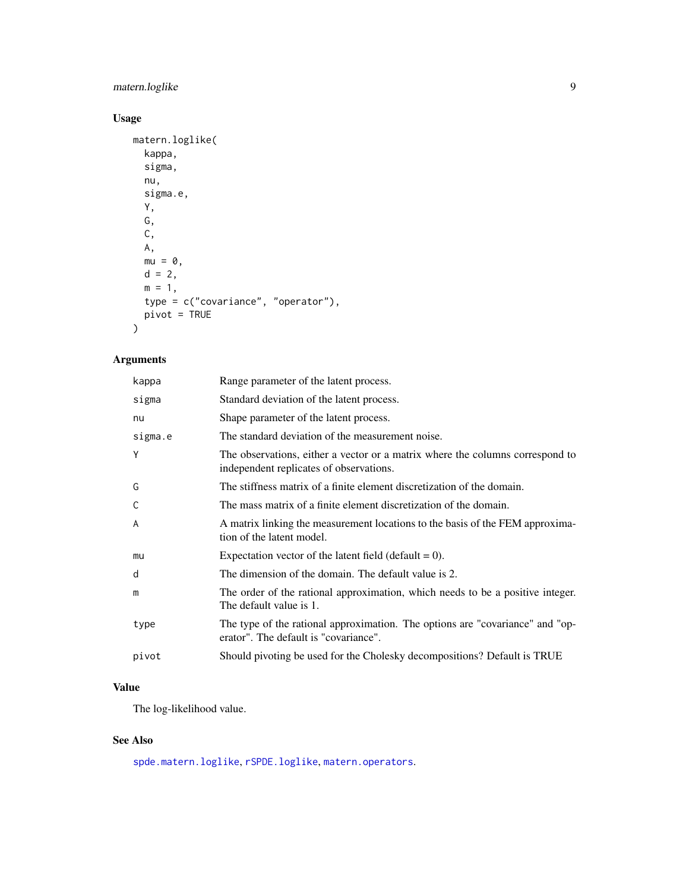# <span id="page-8-0"></span>matern.loglike 9

# Usage

```
matern.loglike(
 kappa,
 sigma,
 nu,
 sigma.e,
 Y,
 G,
 C,
 A,
 mu = 0,
 d = 2,m = 1,
 type = c("covariance", "operator"),
 pivot = TRUE
)
```
# Arguments

| kappa   | Range parameter of the latent process.                                                                                   |
|---------|--------------------------------------------------------------------------------------------------------------------------|
| sigma   | Standard deviation of the latent process.                                                                                |
| nu      | Shape parameter of the latent process.                                                                                   |
| sigma.e | The standard deviation of the measurement noise.                                                                         |
| Y       | The observations, either a vector or a matrix where the columns correspond to<br>independent replicates of observations. |
| G       | The stiffness matrix of a finite element discretization of the domain.                                                   |
| C       | The mass matrix of a finite element discretization of the domain.                                                        |
| A       | A matrix linking the measurement locations to the basis of the FEM approxima-<br>tion of the latent model.               |
| mu      | Expectation vector of the latent field (default $= 0$ ).                                                                 |
| d       | The dimension of the domain. The default value is 2.                                                                     |
| m       | The order of the rational approximation, which needs to be a positive integer.<br>The default value is 1.                |
| type    | The type of the rational approximation. The options are "covariance" and "op-<br>erator". The default is "covariance".   |
| pivot   | Should pivoting be used for the Cholesky decompositions? Default is TRUE                                                 |

# Value

The log-likelihood value.

# See Also

[spde.matern.loglike](#page-46-1), [rSPDE.loglike](#page-25-1), [matern.operators](#page-11-1).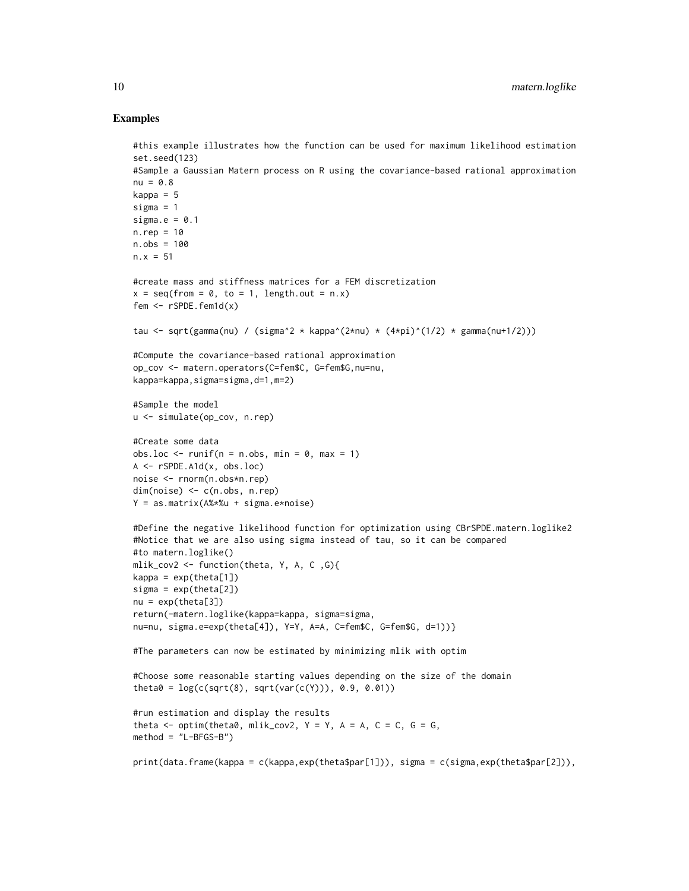```
#this example illustrates how the function can be used for maximum likelihood estimation
set.seed(123)
#Sample a Gaussian Matern process on R using the covariance-based rational approximation
nu = 0.8kappa = 5sigma = 1sigma.e = 0.1n.rep = 10
n.obs = 100
n.x = 51#create mass and stiffness matrices for a FEM discretization
x = \text{seq}(\text{from} = 0, \text{to} = 1, \text{length.out} = n.x)fem <- rSPDE.fem1d(x)
tau <- sqrt(gamma(nu) / (sigma^2 * kappa^(2*nu) * (4*pi)^(1/2) * gamma(nu+1/2)))
#Compute the covariance-based rational approximation
op_cov <- matern.operators(C=fem$C, G=fem$G,nu=nu,
kappa=kappa,sigma=sigma,d=1,m=2)
#Sample the model
u <- simulate(op_cov, n.rep)
#Create some data
obs.loc \le runif(n = n.obs, min = 0, max = 1)
A <- rSPDE.A1d(x, obs.loc)
noise <- rnorm(n.obs*n.rep)
dim(noise) <- c(n.obs, n.rep)
Y = as.matrix(A%*%u + sigma.e*noise)
#Define the negative likelihood function for optimization using CBrSPDE.matern.loglike2
#Notice that we are also using sigma instead of tau, so it can be compared
#to matern.loglike()
mlik_cov2 <- function(theta, Y, A, C ,G){
kappa = exp(theta[1])signa = exp(theta[2])nu = exp(theta[3])return(-matern.loglike(kappa=kappa, sigma=sigma,
nu=nu, sigma.e=exp(theta[4]), Y=Y, A=A, C=fem$C, G=fem$G, d=1))}
#The parameters can now be estimated by minimizing mlik with optim
#Choose some reasonable starting values depending on the size of the domain
theta0 = \log(c(sqrt(8), sqrt(var(c(Y))), 0.9, 0.01))#run estimation and display the results
theta \leq optim(theta0, mlik_cov2, Y = Y, A = A, C = C, G = G,
method = "L-BFGS-B")
print(data.frame(kappa = c(kappa,exp(theta$par[1])), sigma = c(sigma,exp(theta$par[2])),
```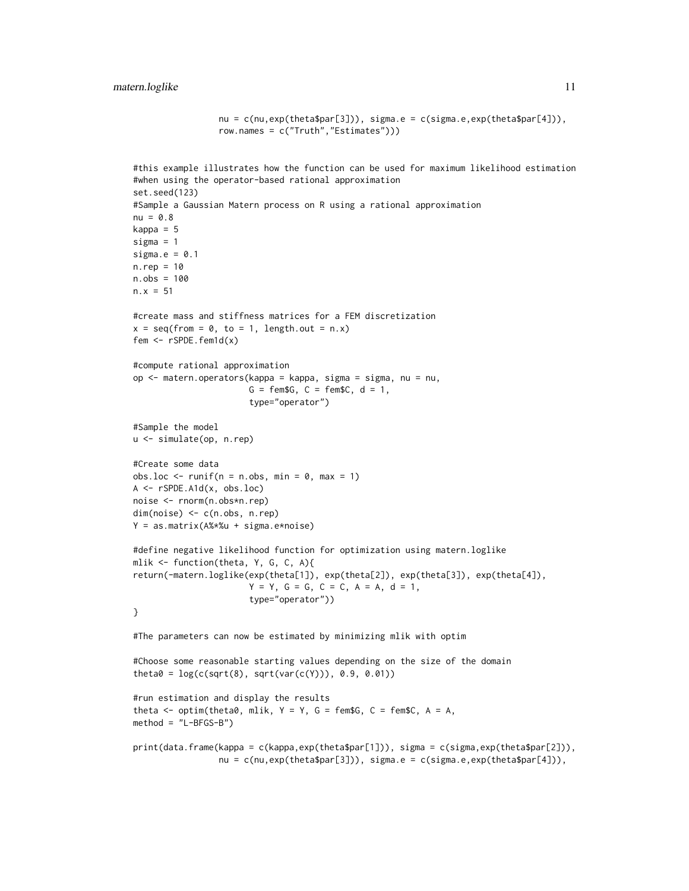```
nu = c(nu, exp(theta$par[3])), sigma.e = c(sigma.e, exp(theta$par[4])),
                  row.names = c("Truth","Estimates")))
#this example illustrates how the function can be used for maximum likelihood estimation
#when using the operator-based rational approximation
set.seed(123)
#Sample a Gaussian Matern process on R using a rational approximation
nu = 0.8kappa = 5
sigma = 1
sigma.e = 0.1n.rep = 10n.obs = 100
n.x = 51#create mass and stiffness matrices for a FEM discretization
x = \text{seq}(\text{from} = \emptyset, \text{to} = 1, \text{length.out} = \text{n.x})fem <- rSPDE.fem1d(x)
#compute rational approximation
op <- matern.operators(kappa = kappa, sigma = sigma, nu = nu,
                        G = \text{fem}\G, C = \text{fem}\C, d = 1,
                        type="operator")
#Sample the model
u <- simulate(op, n.rep)
#Create some data
obs.loc \le runif(n = n.obs, min = 0, max = 1)
A <- rSPDE.A1d(x, obs.loc)
noise <- rnorm(n.obs*n.rep)
dim(noise) <- c(n.obs, n.rep)
Y = as.matrix(A%*%u + sigma.e*noise)
#define negative likelihood function for optimization using matern.loglike
mlik <- function(theta, Y, G, C, A){
return(-matern.loglike(exp(theta[1]), exp(theta[2]), exp(theta[3]), exp(theta[4]),
                        Y = Y, G = G, C = C, A = A, d = 1,
                        type="operator"))
}
#The parameters can now be estimated by minimizing mlik with optim
#Choose some reasonable starting values depending on the size of the domain
theta0 = \log(c(sqrt(8), sqrt(var(c(Y))), 0.9, 0.01))#run estimation and display the results
theta \leq optim(theta0, mlik, Y = Y, G = \text{fem$G}, C = \text{fem$C}, A = A,
method = "L-BFGS-B")print(data.frame(kappa = c(kappa,exp(theta$par[1])), sigma = c(sigma,exp(theta$par[2])),
                  nu = c(nu,exp(theta$par[3])), sigma.e = c(sigma.e,exp(theta$par[4])),
```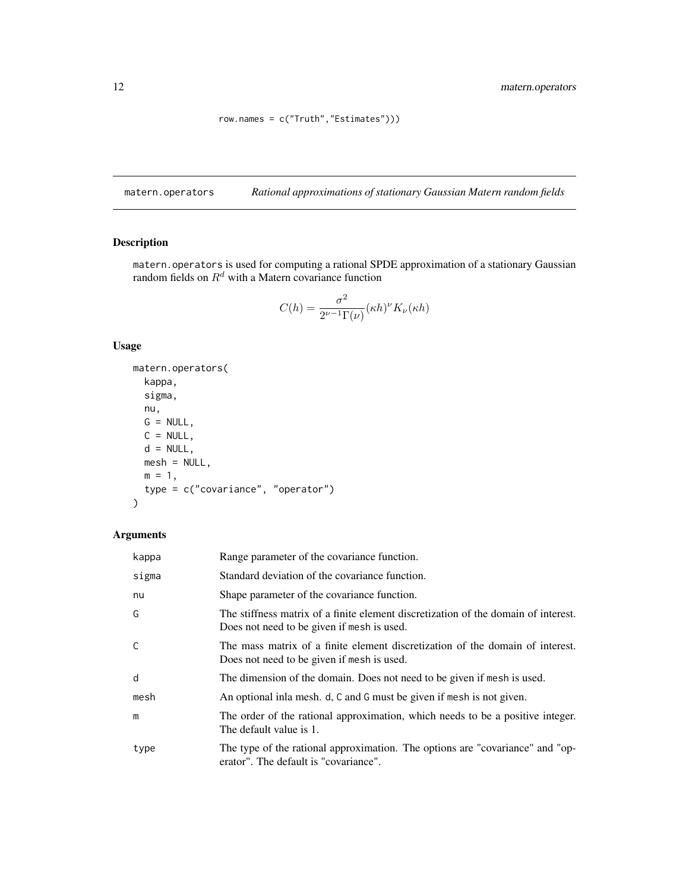row.names = c("Truth","Estimates")))

<span id="page-11-1"></span><span id="page-11-0"></span>matern.operators *Rational approximations of stationary Gaussian Matern random fields*

# Description

matern.operators is used for computing a rational SPDE approximation of a stationary Gaussian random fields on  $R^d$  with a Matern covariance function

$$
C(h) = \frac{\sigma^2}{2^{\nu-1}\Gamma(\nu)} (\kappa h)^{\nu} K_{\nu}(\kappa h)
$$

# Usage

```
matern.operators(
 kappa,
  sigma,
 nu,
 G = NULL,C = NULL,d = NULL,mesh = NULL,
 m = 1,type = c("covariance", "operator")
\mathcal{L}
```
# Arguments

| kappa | Range parameter of the covariance function.                                                                                      |
|-------|----------------------------------------------------------------------------------------------------------------------------------|
| sigma | Standard deviation of the covariance function.                                                                                   |
| nu    | Shape parameter of the covariance function.                                                                                      |
| G     | The stiffness matrix of a finite element discretization of the domain of interest.<br>Does not need to be given if mesh is used. |
| C     | The mass matrix of a finite element discretization of the domain of interest.<br>Does not need to be given if mesh is used.      |
| d     | The dimension of the domain. Does not need to be given if mesh is used.                                                          |
| mesh  | An optional inla mesh. d, C and G must be given if mesh is not given.                                                            |
| m     | The order of the rational approximation, which needs to be a positive integer.<br>The default value is 1.                        |
| type  | The type of the rational approximation. The options are "covariance" and "op-<br>erator". The default is "covariance".           |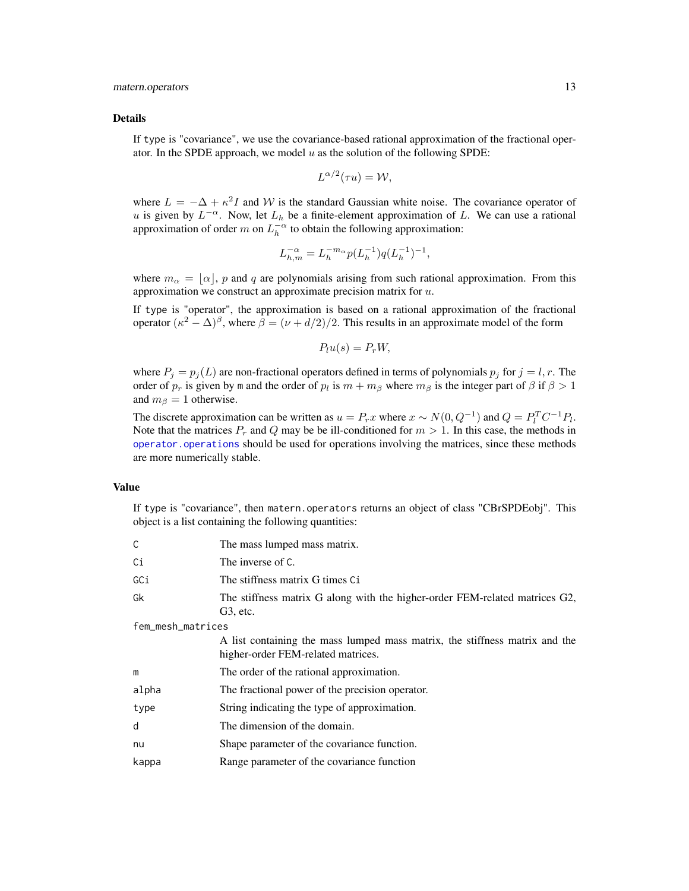#### <span id="page-12-0"></span>Details

If type is "covariance", we use the covariance-based rational approximation of the fractional operator. In the SPDE approach, we model  $u$  as the solution of the following SPDE:

$$
L^{\alpha/2}(\tau u) = \mathcal{W},
$$

where  $L = -\Delta + \kappa^2 I$  and W is the standard Gaussian white noise. The covariance operator of u is given by  $L^{-\alpha}$ . Now, let  $L_h$  be a finite-element approximation of L. We can use a rational approximation of order m on  $L_h^{-\alpha}$  to obtain the following approximation:

$$
L_{h,m}^{-\alpha} = L_h^{-m_\alpha} p(L_h^{-1}) q(L_h^{-1})^{-1},
$$

where  $m_{\alpha} = [\alpha]$ , p and q are polynomials arising from such rational approximation. From this approximation we construct an approximate precision matrix for  $u$ .

If type is "operator", the approximation is based on a rational approximation of the fractional operator  $(\kappa^2 - \Delta)^\beta$ , where  $\beta = (\nu + d/2)/2$ . This results in an approximate model of the form

$$
P_l u(s) = P_r W,
$$

where  $P_i = p_i(L)$  are non-fractional operators defined in terms of polynomials  $p_i$  for  $j = l, r$ . The order of  $p_r$  is given by m and the order of  $p_l$  is  $m + m_\beta$  where  $m_\beta$  is the integer part of  $\beta$  if  $\beta > 1$ and  $m_\beta = 1$  otherwise.

The discrete approximation can be written as  $u = P_rx$  where  $x \sim N(0, Q^{-1})$  and  $Q = P_l^T C^{-1} P_l$ . Note that the matrices  $P_r$  and Q may be be ill-conditioned for  $m > 1$ . In this case, the methods in [operator.operations](#page-14-1) should be used for operations involving the matrices, since these methods are more numerically stable.

# Value

If type is "covariance", then matern.operators returns an object of class "CBrSPDEobj". This object is a list containing the following quantities:

| C                 | The mass lumped mass matrix.                                                                                      |  |
|-------------------|-------------------------------------------------------------------------------------------------------------------|--|
| Сi                | The inverse of C.                                                                                                 |  |
| GCi               | The stiffness matrix G times Ci                                                                                   |  |
| Gk                | The stiffness matrix G along with the higher-order FEM-related matrices G2,<br>$G3$ , etc.                        |  |
| fem_mesh_matrices |                                                                                                                   |  |
|                   | A list containing the mass lumped mass matrix, the stiffness matrix and the<br>higher-order FEM-related matrices. |  |
| m                 | The order of the rational approximation.                                                                          |  |
| alpha             | The fractional power of the precision operator.                                                                   |  |
| type              | String indicating the type of approximation.                                                                      |  |
| d                 | The dimension of the domain.                                                                                      |  |
| nu                | Shape parameter of the covariance function.                                                                       |  |
| kappa             | Range parameter of the covariance function                                                                        |  |
|                   |                                                                                                                   |  |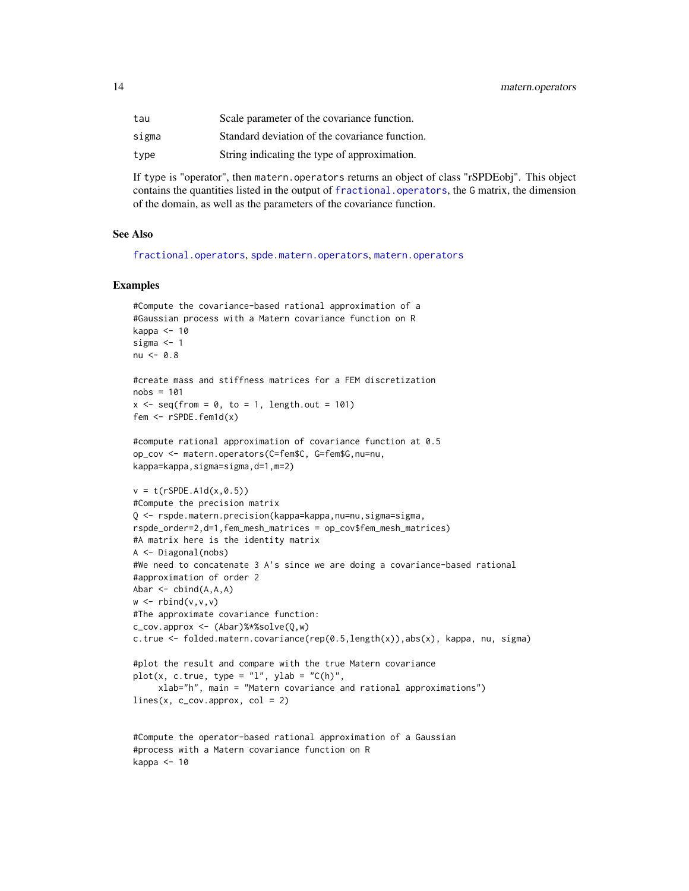<span id="page-13-0"></span>

| tau   | Scale parameter of the covariance function.    |
|-------|------------------------------------------------|
| sigma | Standard deviation of the covariance function. |
| type  | String indicating the type of approximation.   |

If type is "operator", then matern.operators returns an object of class "rSPDEobj". This object contains the quantities listed in the output of fractional. operators, the G matrix, the dimension of the domain, as well as the parameters of the covariance function.

#### See Also

[fractional.operators](#page-3-1), [spde.matern.operators](#page-48-1), [matern.operators](#page-11-1)

```
#Compute the covariance-based rational approximation of a
#Gaussian process with a Matern covariance function on R
kappa <- 10
sigma <-1nu < -0.8#create mass and stiffness matrices for a FEM discretization
nobs = 101x \le - seq(from = 0, to = 1, length.out = 101)
fem <- rSPDE.fem1d(x)
#compute rational approximation of covariance function at 0.5
op_cov <- matern.operators(C=fem$C, G=fem$G,nu=nu,
kappa=kappa,sigma=sigma,d=1,m=2)
v = t(rSPDE.A1d(x, 0.5))#Compute the precision matrix
Q <- rspde.matern.precision(kappa=kappa,nu=nu,sigma=sigma,
rspde_order=2,d=1,fem_mesh_matrices = op_cov$fem_mesh_matrices)
#A matrix here is the identity matrix
A <- Diagonal(nobs)
#We need to concatenate 3 A's since we are doing a covariance-based rational
#approximation of order 2
Abar \leq cbind(A,A,A)
w \leftarrow \text{rbind}(v, v, v)#The approximate covariance function:
c_cov.approx <- (Abar)%*%solve(Q,w)
c.true <- folded.matern.covariance(rep(0.5,length(x)),abs(x), kappa, nu, sigma)
#plot the result and compare with the true Matern covariance
plot(x, c.true, type = "l", ylab = "C(h)",xlab="h", main = "Matern covariance and rational approximations")
lines(x, c_{cov}.approx, col = 2)#Compute the operator-based rational approximation of a Gaussian
#process with a Matern covariance function on R
kappa <- 10
```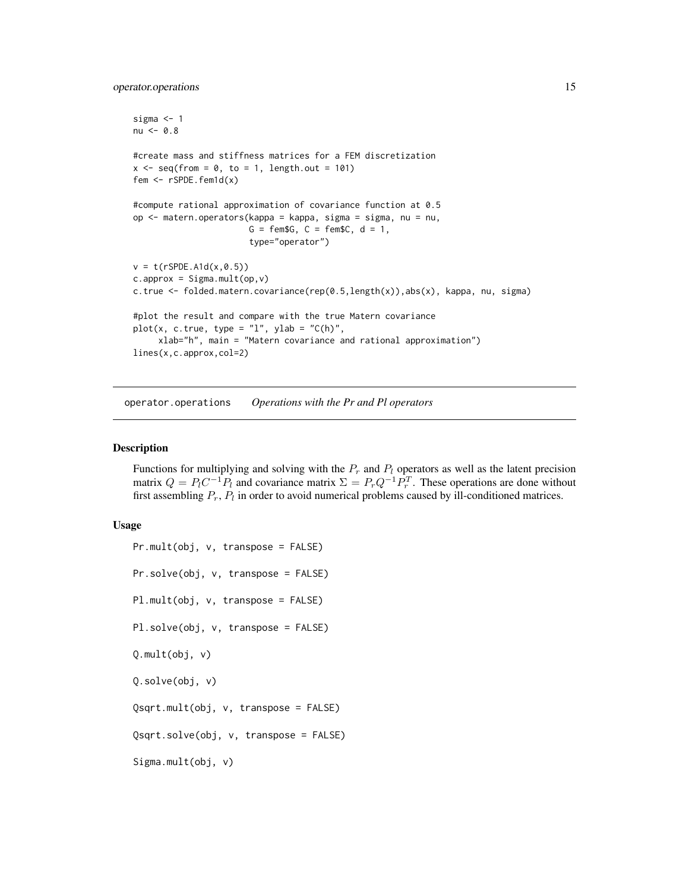# <span id="page-14-0"></span>operator.operations 15

```
sigma <- 1
nu < -0.8#create mass and stiffness matrices for a FEM discretization
x \le - seq(from = 0, to = 1, length.out = 101)
fem \leq rSPDE.fem1d(x)
#compute rational approximation of covariance function at 0.5
op <- matern.operators(kappa = kappa, sigma = sigma, nu = nu,
                       G = \text{fem}\G, C = \text{fem}\C, d = 1,
                       type="operator")
v = t(rSPDE.A1d(x, 0.5))c.append = Sigma.mult(op, v)c.true <- folded.matern.covariance(rep(0.5,length(x)),abs(x), kappa, nu, sigma)
#plot the result and compare with the true Matern covariance
plot(x, c,true, type = "l", ylab = "C(h)",xlab="h", main = "Matern covariance and rational approximation")
lines(x,c.approx,col=2)
```
<span id="page-14-1"></span>operator.operations *Operations with the Pr and Pl operators*

#### **Description**

Functions for multiplying and solving with the  $P_r$  and  $P_l$  operators as well as the latent precision matrix  $Q = P_1 C^{-1} P_1$  and covariance matrix  $\Sigma = P_r Q^{-1} P_r^T$ . These operations are done without first assembling  $P_r$ ,  $P_l$  in order to avoid numerical problems caused by ill-conditioned matrices.

#### Usage

```
Pr.mult(obj, v, transpose = FALSE)
Pr.solve(obj, v, transpose = FALSE)
Pl.mult(obj, v, transpose = FALSE)
Pl.solve(obj, v, transpose = FALSE)
Q.mult(obj, v)
Q.solve(obj, v)
Qsqrt.mult(obj, v, transpose = FALSE)
Qsqrt.solve(obj, v, transpose = FALSE)
Sigma.mult(obj, v)
```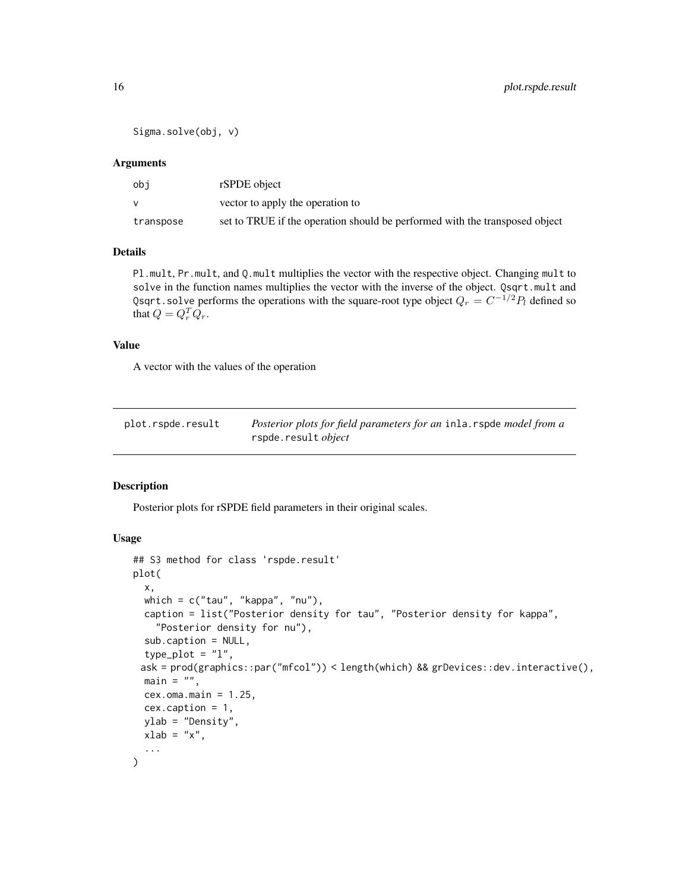```
Sigma.solve(obj, v)
```
#### **Arguments**

| obi       | rSPDE object                                                                |
|-----------|-----------------------------------------------------------------------------|
|           | vector to apply the operation to                                            |
| transpose | set to TRUE if the operation should be performed with the transposed object |

#### Details

Pl.mult, Pr.mult, and Q.mult multiplies the vector with the respective object. Changing mult to solve in the function names multiplies the vector with the inverse of the object. Qsqrt.mult and Qsqrt.solve performs the operations with the square-root type object  $Q_r = C^{-1/2} P_l$  defined so that  $Q = Q_r^T Q_r$ .

#### Value

A vector with the values of the operation

| plot.rspde.result | Posterior plots for field parameters for an inla. rspde model from a |
|-------------------|----------------------------------------------------------------------|
|                   | rspde.result <i>object</i>                                           |

#### Description

Posterior plots for rSPDE field parameters in their original scales.

# Usage

```
## S3 method for class 'rspde.result'
plot(
  x,
 which = c("tau", "kappa", "nu"),
  caption = list("Posterior density for tau", "Posterior density for kappa",
    "Posterior density for nu"),
  sub.caption = NULL,
  type\_plot = "l",ask = prod(graphics::par("mfcol")) < length(which) && grDevices::dev.interactive(),
 main = "",cex.oma.main = <math>1.25</math>,cex.caption = 1,
 ylab = "Density",
 xlab = "x",
  ...
)
```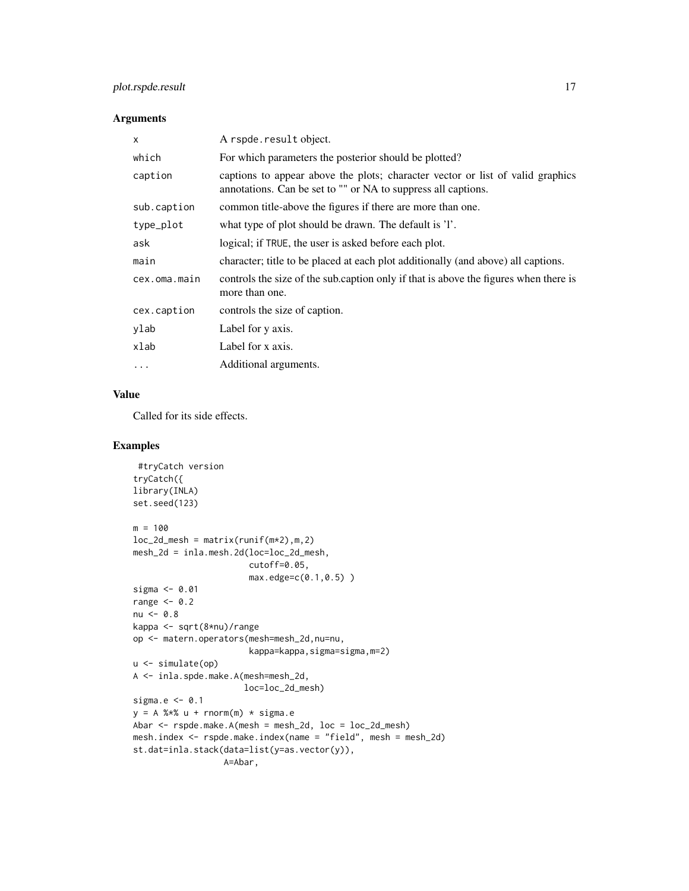# plot.rspde.result 17

# Arguments

| X            | A rspde.result object.                                                                                                                          |
|--------------|-------------------------------------------------------------------------------------------------------------------------------------------------|
| which        | For which parameters the posterior should be plotted?                                                                                           |
| caption      | captions to appear above the plots; character vector or list of valid graphics<br>annotations. Can be set to "" or NA to suppress all captions. |
| sub.caption  | common title-above the figures if there are more than one.                                                                                      |
| type_plot    | what type of plot should be drawn. The default is 'l'.                                                                                          |
| ask          | logical; if TRUE, the user is asked before each plot.                                                                                           |
| main         | character; title to be placed at each plot additionally (and above) all captions.                                                               |
| cex.oma.main | controls the size of the sub.caption only if that is above the figures when there is<br>more than one.                                          |
| cex.caption  | controls the size of caption.                                                                                                                   |
| ylab         | Label for y axis.                                                                                                                               |
| xlab         | Label for x axis.                                                                                                                               |
| $\ddots$ .   | Additional arguments.                                                                                                                           |

#### Value

Called for its side effects.

```
#tryCatch version
tryCatch({
library(INLA)
set.seed(123)
m = 100loc_2d_mesh = matrix(runif(m*2),m,2)mesh_2d = inla.mesh.2d(loc=loc_2d_mesh,
                       cutoff=0.05,
                       max.edge=c(0.1,0.5) )
sigma <- 0.01
range <-0.2nu < -0.8kappa <- sqrt(8*nu)/range
op <- matern.operators(mesh=mesh_2d,nu=nu,
                       kappa=kappa,sigma=sigma,m=2)
u <- simulate(op)
A <- inla.spde.make.A(mesh=mesh_2d,
                     loc=loc_2d_mesh)
sigma.e <-0.1y = A %*% u + rnorm(m) * sigma.eAbar <- rspde.make.A(mesh = mesh_2d, loc = loc_2d_mesh)
mesh.index <- rspde.make.index(name = "field", mesh = mesh_2d)
st.dat=inla.stack(data=list(y=as.vector(y)),
                 A=Abar,
```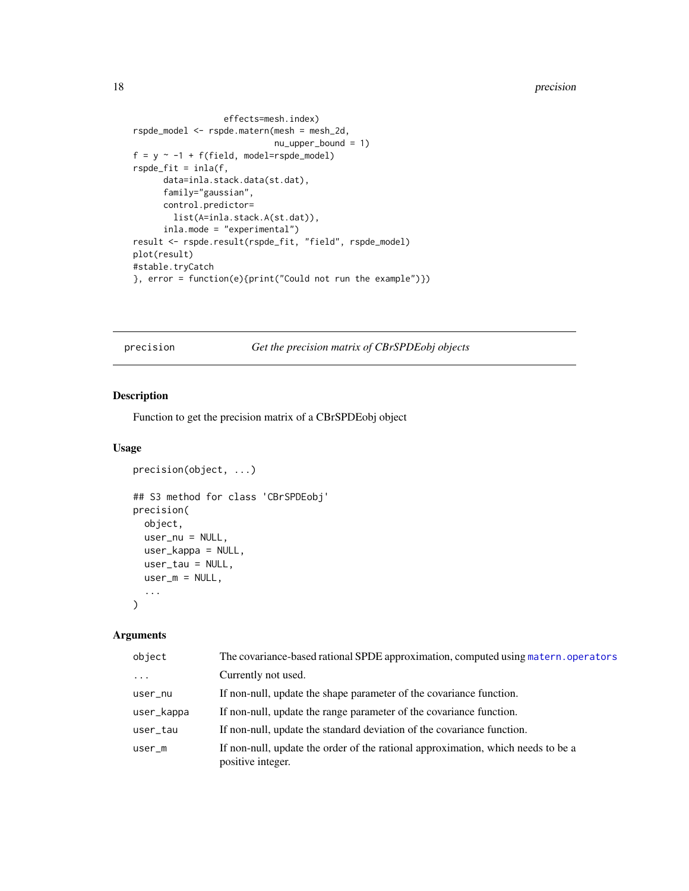```
effects=mesh.index)
rspde_model <- rspde.matern(mesh = mesh_2d,
                            nu_upper_bound = 1)
f = y \sim -1 + f(field, model = rspde_model)rspde_fit = inla(f,
      data=inla.stack.data(st.dat),
      family="gaussian",
      control.predictor=
       list(A=inla.stack.A(st.dat)),
      inla.mode = "experimental")
result <- rspde.result(rspde_fit, "field", rspde_model)
plot(result)
#stable.tryCatch
}, error = function(e){print("Could not run the example")})
```
precision *Get the precision matrix of CBrSPDEobj objects*

# Description

Function to get the precision matrix of a CBrSPDEobj object

#### Usage

```
precision(object, ...)
## S3 method for class 'CBrSPDEobj'
precision(
 object,
 user_nu = NULL,
 user_kappa = NULL,
 user_tau = NULL,
 user_m = NULL,...
)
```
#### Arguments

| object     | The covariance-based rational SPDE approximation, computed using matern, operators                    |
|------------|-------------------------------------------------------------------------------------------------------|
| $\ddots$   | Currently not used.                                                                                   |
| user_nu    | If non-null, update the shape parameter of the covariance function.                                   |
| user_kappa | If non-null, update the range parameter of the covariance function.                                   |
| user_tau   | If non-null, update the standard deviation of the covariance function.                                |
| $user_m$   | If non-null, update the order of the rational approximation, which needs to be a<br>positive integer. |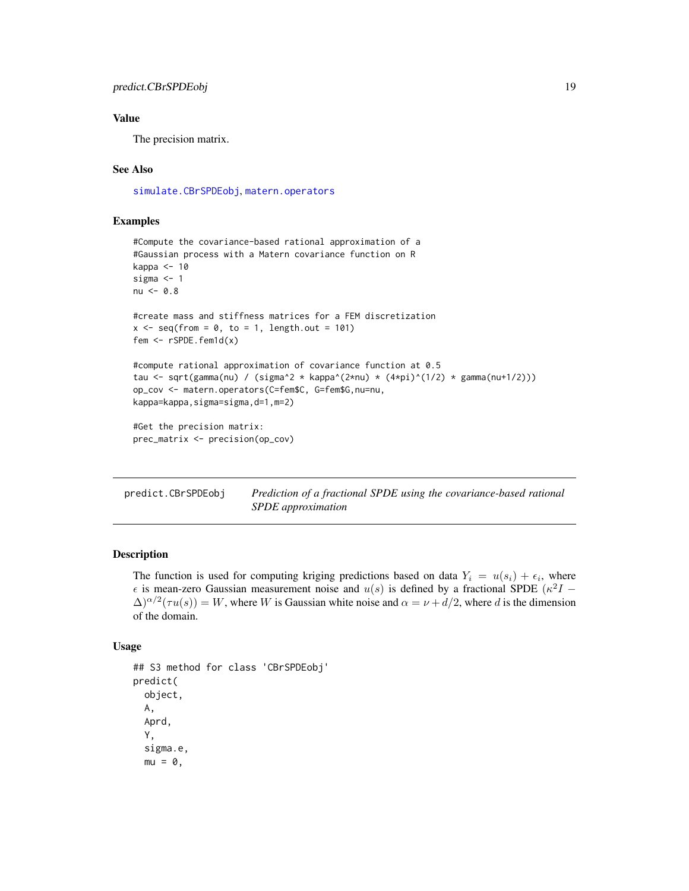# <span id="page-18-0"></span>Value

The precision matrix.

# See Also

[simulate.CBrSPDEobj](#page-45-1), [matern.operators](#page-11-1)

# Examples

```
#Compute the covariance-based rational approximation of a
#Gaussian process with a Matern covariance function on R
kappa <- 10
sigma <- 1
nu < -0.8#create mass and stiffness matrices for a FEM discretization
x \leq - seq(from = 0, to = 1, length.out = 101)
fem <- rSPDE.fem1d(x)
#compute rational approximation of covariance function at 0.5
tau <- sqrt(gamma(nu) / (sigma^2 * kappa^(2*nu) * (4*pi)^(1/2) * gamma(nu+1/2)))
op_cov <- matern.operators(C=fem$C, G=fem$G,nu=nu,
kappa=kappa,sigma=sigma,d=1,m=2)
#Get the precision matrix:
prec_matrix <- precision(op_cov)
```
<span id="page-18-1"></span>

| predict.CBrSPDEobj | Prediction of a fractional SPDE using the covariance-based rational |
|--------------------|---------------------------------------------------------------------|
|                    | <i>SPDE approximation</i>                                           |

# Description

The function is used for computing kriging predictions based on data  $Y_i = u(s_i) + \epsilon_i$ , where  $\epsilon$  is mean-zero Gaussian measurement noise and  $u(s)$  is defined by a fractional SPDE ( $\kappa^2 I$  –  $\Delta^{\alpha/2}(\tau u(s)) = W$ , where W is Gaussian white noise and  $\alpha = \nu + d/2$ , where d is the dimension of the domain.

#### Usage

```
## S3 method for class 'CBrSPDEobj'
predict(
  object,
 A,
  Aprd,
  Y,
  sigma.e,
 mu = 0,
```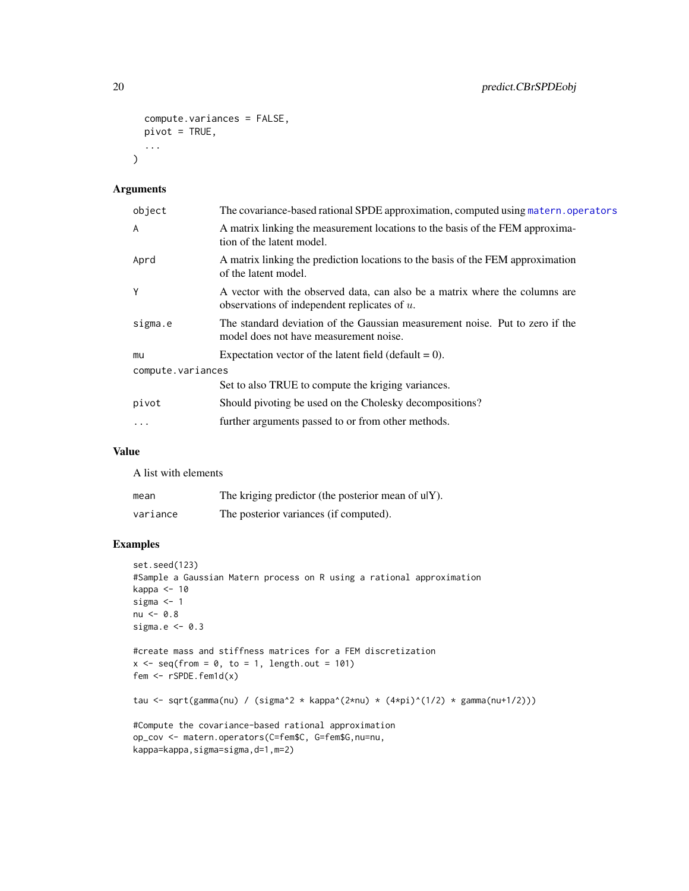```
compute.variances = FALSE,
  pivot = TRUE,
  ...
\mathcal{L}
```
# Arguments

| object            | The covariance-based rational SPDE approximation, computed using matern. operators                                             |  |  |
|-------------------|--------------------------------------------------------------------------------------------------------------------------------|--|--|
| A                 | A matrix linking the measurement locations to the basis of the FEM approxima-<br>tion of the latent model.                     |  |  |
| Aprd              | A matrix linking the prediction locations to the basis of the FEM approximation<br>of the latent model.                        |  |  |
| Υ                 | A vector with the observed data, can also be a matrix where the columns are<br>observations of independent replicates of $u$ . |  |  |
| sigma.e           | The standard deviation of the Gaussian measurement noise. Put to zero if the<br>model does not have measurement noise.         |  |  |
| mu                | Expectation vector of the latent field (default $= 0$ ).                                                                       |  |  |
| compute.variances |                                                                                                                                |  |  |
|                   | Set to also TRUE to compute the kriging variances.                                                                             |  |  |
| pivot             | Should pivoting be used on the Cholesky decompositions?                                                                        |  |  |
| $\ddotsc$         | further arguments passed to or from other methods.                                                                             |  |  |
|                   |                                                                                                                                |  |  |

# Value

A list with elements

| mean     | The kriging predictor (the posterior mean of ulY). |
|----------|----------------------------------------------------|
| variance | The posterior variances (if computed).             |

```
set.seed(123)
#Sample a Gaussian Matern process on R using a rational approximation
kappa <- 10
sigma <- 1
nu < -0.8sigma.e <-0.3#create mass and stiffness matrices for a FEM discretization
x \le - seq(from = 0, to = 1, length.out = 101)
fem \leq rSPDE.fem1d(x)
tau <- sqrt(gamma(nu) / (sigma^2 * kappa^(2*nu) * (4*pi)^(1/2) * gamma(nu+1/2)))
#Compute the covariance-based rational approximation
op_cov <- matern.operators(C=fem$C, G=fem$G,nu=nu,
kappa=kappa,sigma=sigma,d=1,m=2)
```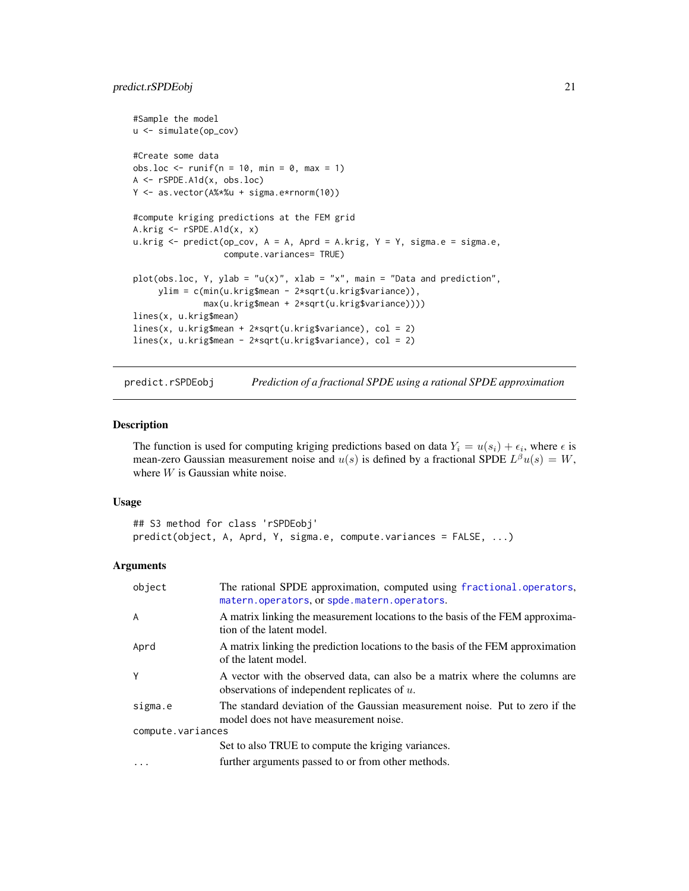```
#Sample the model
u <- simulate(op_cov)
#Create some data
obs.loc \le runif(n = 10, min = 0, max = 1)
A <- rSPDE.A1d(x, obs.loc)
Y <- as.vector(A%*%u + sigma.e*rnorm(10))
#compute kriging predictions at the FEM grid
A.krig \leftarrow rSPDE.A1d(x, x)u.krig \leq predict(op_cov, A = A, Aprd = A.krig, Y = Y, sigma.e = sigma.e,
                  compute.variances= TRUE)
plot(obs.loc, Y, ylab = "u(x)", xlab = "x", main = "Data and prediction",
     ylim = c(min(u.krig$mean - 2*sqrt(u.krig$variance)),
              max(u.krig$mean + 2*sqrt(u.krig$variance))))
lines(x, u.krig$mean)
lines(x, u.krig$mean + 2*sqrt(u.krig$variance), col = 2)
lines(x, u.krig$mean - 2*sqrt(u.krig$variance), col = 2)
```
<span id="page-20-1"></span>predict.rSPDEobj *Prediction of a fractional SPDE using a rational SPDE approximation*

#### Description

The function is used for computing kriging predictions based on data  $Y_i = u(s_i) + \epsilon_i$ , where  $\epsilon$  is mean-zero Gaussian measurement noise and  $u(s)$  is defined by a fractional SPDE  $L^{\beta}u(s) = W$ , where  $W$  is Gaussian white noise.

#### Usage

```
## S3 method for class 'rSPDEobj'
predict(object, A, Aprd, Y, sigma.e, compute.variances = FALSE, ...)
```
#### Arguments

| object            | The rational SPDE approximation, computed using fractional.operators,<br>matern.operators, or spde.matern.operators.           |  |
|-------------------|--------------------------------------------------------------------------------------------------------------------------------|--|
| A                 | A matrix linking the measurement locations to the basis of the FEM approxima-<br>tion of the latent model.                     |  |
| Aprd              | A matrix linking the prediction locations to the basis of the FEM approximation<br>of the latent model.                        |  |
| Y                 | A vector with the observed data, can also be a matrix where the columns are<br>observations of independent replicates of $u$ . |  |
| sigma.e           | The standard deviation of the Gaussian measurement noise. Put to zero if the<br>model does not have measurement noise.         |  |
| compute.variances |                                                                                                                                |  |
|                   | Set to also TRUE to compute the kriging variances.                                                                             |  |
| $\cdot\cdot\cdot$ | further arguments passed to or from other methods.                                                                             |  |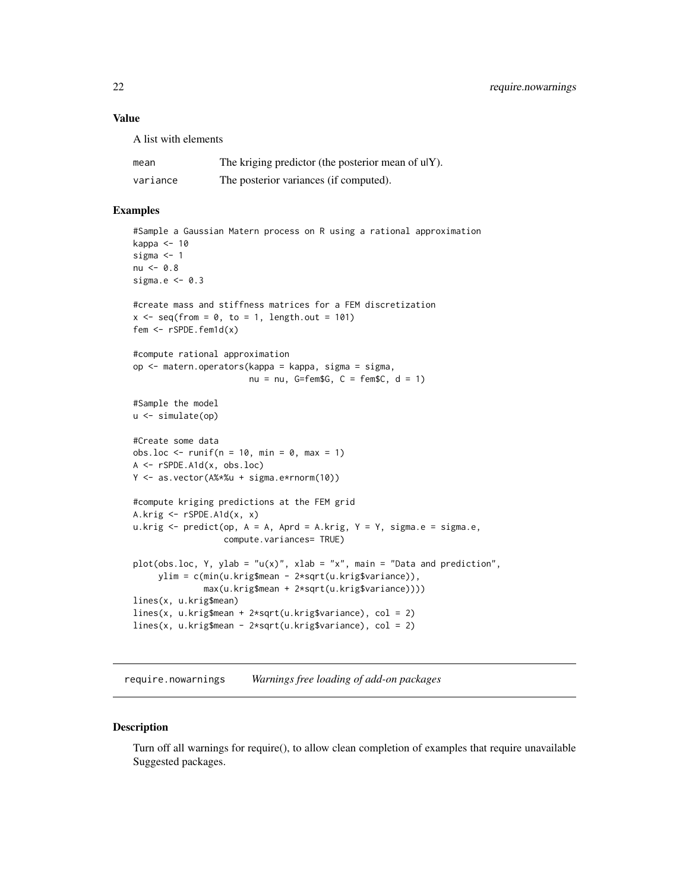# <span id="page-21-0"></span>Value

A list with elements

| mean     | The kriging predictor (the posterior mean of ulY). |
|----------|----------------------------------------------------|
| variance | The posterior variances (if computed).             |

# Examples

```
#Sample a Gaussian Matern process on R using a rational approximation
kappa <- 10
sigma <-1nu < -0.8sigma.e <-0.3#create mass and stiffness matrices for a FEM discretization
x \leq -\text{seq}(\text{from} = \emptyset, \text{to} = 1, \text{length.out} = 101)fem <- rSPDE.fem1d(x)
#compute rational approximation
op <- matern.operators(kappa = kappa, sigma = sigma,
                       nu = nu, G=fem$G, C = fem$C, d = 1#Sample the model
u <- simulate(op)
#Create some data
obs.loc \le runif(n = 10, min = 0, max = 1)
A <- rSPDE.A1d(x, obs.loc)
Y <- as.vector(A%*%u + sigma.e*rnorm(10))
#compute kriging predictions at the FEM grid
A.krig <- rSPDE.A1d(x, x)
u.krig \leq predict(op, A = A, Aprd = A.krig, Y = Y, sigma.e = sigma.e,
                  compute.variances= TRUE)
plot(obs.loc, Y, ylab = "u(x)", xlab = "x", main = "Data and prediction",
     ylim = c(min(u.krig$mean - 2*sqrt(u.krig$variance)),
              max(u.krig$mean + 2*sqrt(u.krig$variance))))
lines(x, u.krig$mean)
lines(x, u.krig$mean + 2*sqrt(u.krig$variance), col = 2)
lines(x, u.krig$mean - 2*sqrt(u.krig$variance), col = 2)
```
require.nowarnings *Warnings free loading of add-on packages*

#### Description

Turn off all warnings for require(), to allow clean completion of examples that require unavailable Suggested packages.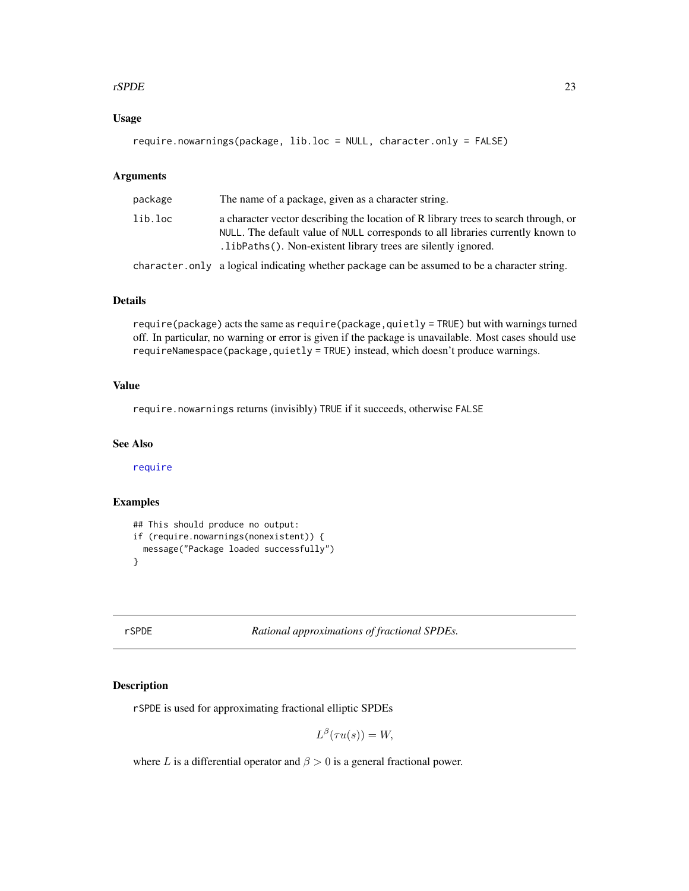#### <span id="page-22-0"></span>rSPDE 23

# Usage

require.nowarnings(package, lib.loc = NULL, character.only = FALSE)

# Arguments

| package | The name of a package, given as a character string.                                                                                                                                                                                       |
|---------|-------------------------------------------------------------------------------------------------------------------------------------------------------------------------------------------------------------------------------------------|
| lib.loc | a character vector describing the location of R library trees to search through, or<br>NULL. The default value of NULL corresponds to all libraries currently known to<br>. libPaths (). Non-existent library trees are silently ignored. |
|         | character.only a logical indicating whether package can be assumed to be a character string.                                                                                                                                              |

# Details

require(package) acts the same as require(package,quietly = TRUE) but with warnings turned off. In particular, no warning or error is given if the package is unavailable. Most cases should use requireNamespace(package,quietly = TRUE) instead, which doesn't produce warnings.

# Value

require.nowarnings returns (invisibly) TRUE if it succeeds, otherwise FALSE

# See Also

[require](#page-0-0)

# Examples

```
## This should produce no output:
if (require.nowarnings(nonexistent)) {
  message("Package loaded successfully")
}
```
rSPDE *Rational approximations of fractional SPDEs.*

# Description

rSPDE is used for approximating fractional elliptic SPDEs

$$
L^{\beta}(\tau u(s)) = W,
$$

where L is a differential operator and  $\beta > 0$  is a general fractional power.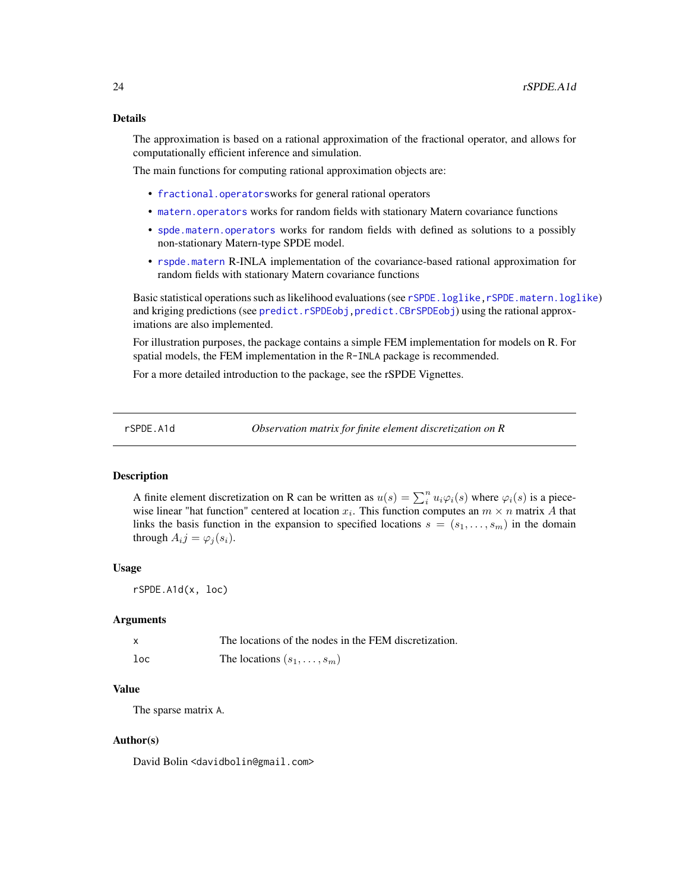#### <span id="page-23-0"></span>Details

The approximation is based on a rational approximation of the fractional operator, and allows for computationally efficient inference and simulation.

The main functions for computing rational approximation objects are:

- [fractional.operators](#page-3-1)works for general rational operators
- [matern.operators](#page-11-1) works for random fields with stationary Matern covariance functions
- [spde.matern.operators](#page-48-1) works for random fields with defined as solutions to a possibly non-stationary Matern-type SPDE model.
- [rspde.matern](#page-29-1) R-INLA implementation of the covariance-based rational approximation for random fields with stationary Matern covariance functions

Basic statistical operations such as likelihood evaluations (see [rSPDE.loglike](#page-25-1)[,rSPDE.matern.loglike](#page-32-1)) and kriging predictions (see [predict.rSPDEobj](#page-20-1)[,predict.CBrSPDEobj](#page-18-1)) using the rational approximations are also implemented.

For illustration purposes, the package contains a simple FEM implementation for models on R. For spatial models, the FEM implementation in the R-INLA package is recommended.

For a more detailed introduction to the package, see the rSPDE Vignettes.

<span id="page-23-1"></span>rSPDE.A1d *Observation matrix for finite element discretization on R*

# Description

A finite element discretization on R can be written as  $u(s) = \sum_{i=1}^{n} u_i \varphi_i(s)$  where  $\varphi_i(s)$  is a piecewise linear "hat function" centered at location  $x_i$ . This function computes an  $m \times n$  matrix A that links the basis function in the expansion to specified locations  $s = (s_1, \ldots, s_m)$  in the domain through  $A_i j = \varphi_j(s_i)$ .

#### Usage

rSPDE.A1d(x, loc)

#### Arguments

|        | The locations of the nodes in the FEM discretization. |
|--------|-------------------------------------------------------|
| $1$ oc | The locations $(s_1, \ldots, s_m)$                    |

# Value

The sparse matrix A.

#### Author(s)

David Bolin <davidbolin@gmail.com>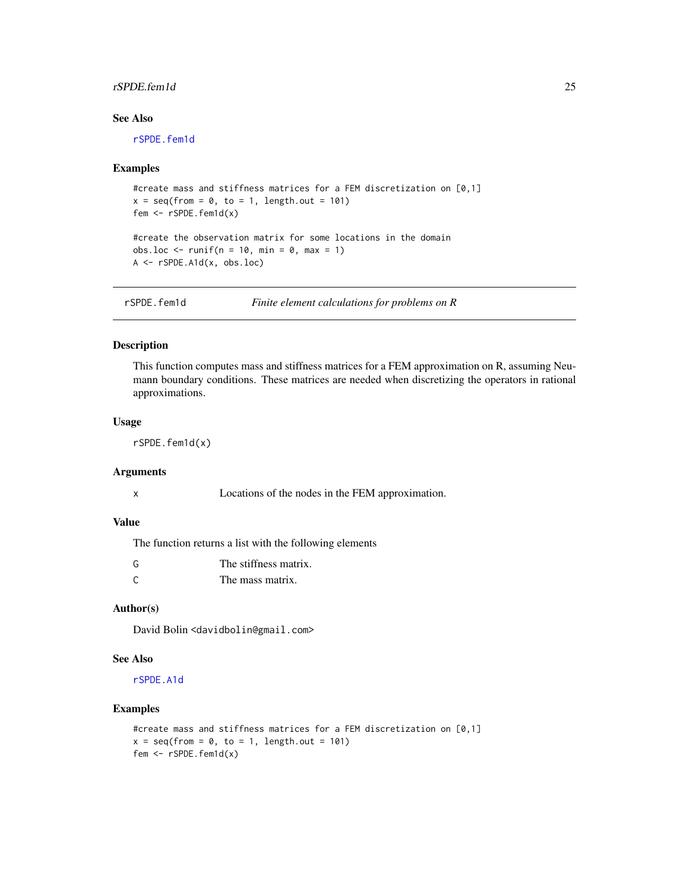# <span id="page-24-0"></span>rSPDE.fem1d 25

# See Also

[rSPDE.fem1d](#page-24-1)

#### Examples

```
#create mass and stiffness matrices for a FEM discretization on [0,1]
x = seq(from = 0, to = 1, length.out = 101)fem <- rSPDE.fem1d(x)
#create the observation matrix for some locations in the domain
```
obs.loc  $\le$  runif(n = 10, min = 0, max = 1) A <- rSPDE.A1d(x, obs.loc)

<span id="page-24-1"></span>rSPDE.fem1d *Finite element calculations for problems on R*

#### Description

This function computes mass and stiffness matrices for a FEM approximation on R, assuming Neumann boundary conditions. These matrices are needed when discretizing the operators in rational approximations.

#### Usage

rSPDE.fem1d(x)

#### Arguments

| x |  |  |  |
|---|--|--|--|
|   |  |  |  |

Locations of the nodes in the FEM approximation.

#### Value

The function returns a list with the following elements

| G | The stiffness matrix. |
|---|-----------------------|
|   | The mass matrix.      |

#### Author(s)

David Bolin <davidbolin@gmail.com>

# See Also

[rSPDE.A1d](#page-23-1)

```
#create mass and stiffness matrices for a FEM discretization on [0,1]
x = seq(from = 0, to = 1, length.out = 101)fem <- rSPDE.fem1d(x)
```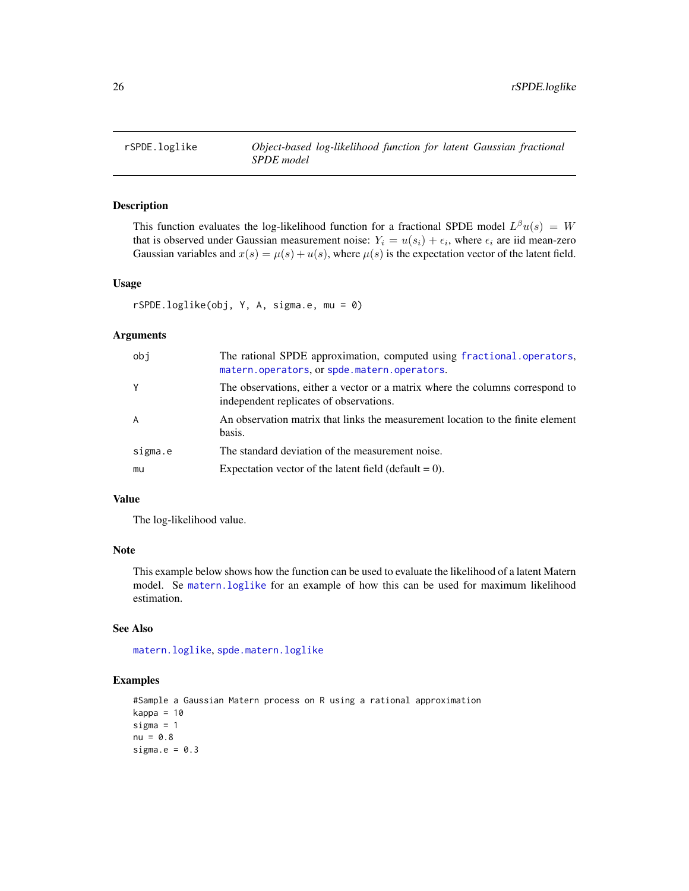<span id="page-25-1"></span><span id="page-25-0"></span>

# Description

This function evaluates the log-likelihood function for a fractional SPDE model  $L^{\beta}u(s) = W$ that is observed under Gaussian measurement noise:  $Y_i = u(s_i) + \epsilon_i$ , where  $\epsilon_i$  are iid mean-zero Gaussian variables and  $x(s) = \mu(s) + u(s)$ , where  $\mu(s)$  is the expectation vector of the latent field.

#### Usage

rSPDE.loglike(obj, Y, A, sigma.e, mu = 0)

#### Arguments

| obj     | The rational SPDE approximation, computed using fractional.operators,<br>matern.operators, or spde.matern.operators.     |
|---------|--------------------------------------------------------------------------------------------------------------------------|
| Y       | The observations, either a vector or a matrix where the columns correspond to<br>independent replicates of observations. |
| A       | An observation matrix that links the measurement location to the finite element<br>basis.                                |
| sigma.e | The standard deviation of the measurement noise.                                                                         |
| mu      | Expectation vector of the latent field (default $= 0$ ).                                                                 |

#### Value

The log-likelihood value.

#### Note

This example below shows how the function can be used to evaluate the likelihood of a latent Matern model. Se [matern.loglike](#page-7-1) for an example of how this can be used for maximum likelihood estimation.

# See Also

[matern.loglike](#page-7-1), [spde.matern.loglike](#page-46-1)

```
#Sample a Gaussian Matern process on R using a rational approximation
kappa = 10sigma = 1
nu = 0.8sigma.e = 0.3
```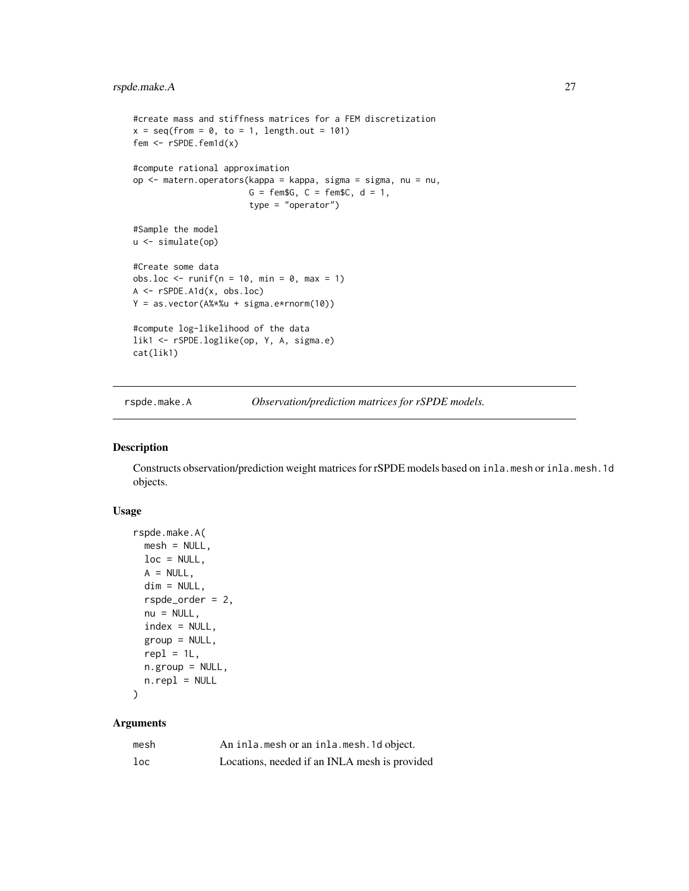```
#create mass and stiffness matrices for a FEM discretization
x = seq(from = 0, to = 1, length.out = 101)fem <- rSPDE.fem1d(x)
#compute rational approximation
op <- matern.operators(kappa = kappa, sigma = sigma, nu = nu,
                       G = \text{fem}\G, C = \text{fem}\C, d = 1,
                       type = "operator")
#Sample the model
u <- simulate(op)
#Create some data
obs.loc \le runif(n = 10, min = 0, max = 1)
A <- rSPDE.A1d(x, obs.loc)
Y = as.vector(A%*%u + sigma.e*rnorm(10))
#compute log-likelihood of the data
lik1 <- rSPDE.loglike(op, Y, A, sigma.e)
cat(lik1)
```
rspde.make.A *Observation/prediction matrices for rSPDE models.*

# Description

Constructs observation/prediction weight matrices for rSPDE models based on inla.mesh or inla.mesh.1d objects.

#### Usage

```
rspde.make.A(
 mesh = NULL,loc = NULL,
 A = NULL,dim = NULL,rspde_order = 2,
 nu = NULL,index = NULL,
  group = NULL,
  rep1 = 1L,n.group = NULL,
 n.\text{repl} = \text{NULL}
```

```
)
```
# Arguments

| mesh   | An inla. mesh or an inla. mesh. 1d object.    |
|--------|-----------------------------------------------|
| $1$ oc | Locations, needed if an INLA mesh is provided |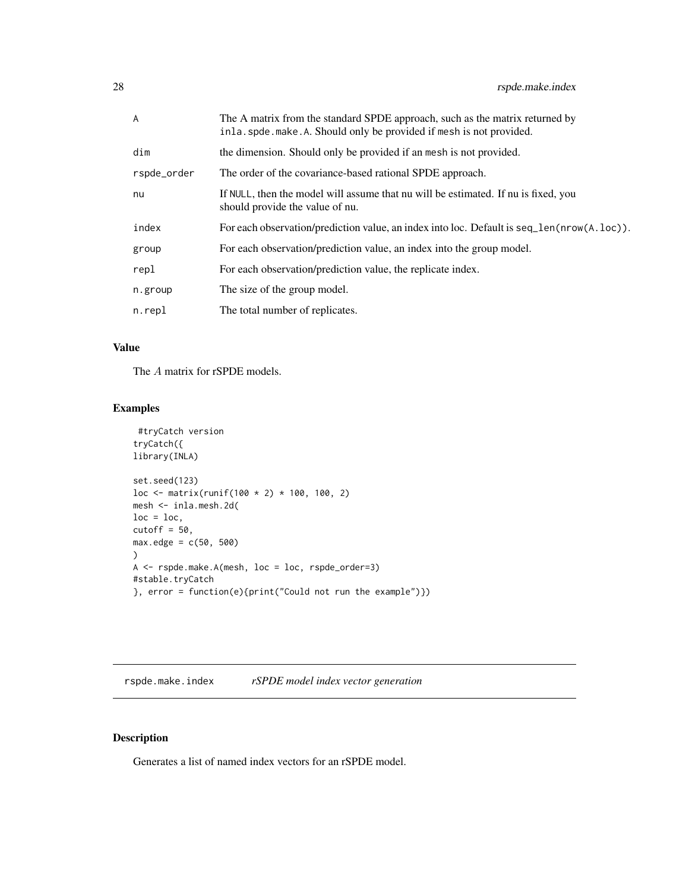<span id="page-27-0"></span>

| A           | The A matrix from the standard SPDE approach, such as the matrix returned by<br>inla. spde. make. A. Should only be provided if mesh is not provided. |
|-------------|-------------------------------------------------------------------------------------------------------------------------------------------------------|
| dim         | the dimension. Should only be provided if an mesh is not provided.                                                                                    |
| rspde_order | The order of the covariance-based rational SPDE approach.                                                                                             |
| nu          | If NULL, then the model will assume that nu will be estimated. If nu is fixed, you<br>should provide the value of nu.                                 |
| index       | For each observation/prediction value, an index into loc. Default is $seq\_len(nrow(A, loc))$ .                                                       |
| group       | For each observation/prediction value, an index into the group model.                                                                                 |
| repl        | For each observation/prediction value, the replicate index.                                                                                           |
| n.group     | The size of the group model.                                                                                                                          |
| n.repl      | The total number of replicates.                                                                                                                       |

# Value

The A matrix for rSPDE models.

# Examples

```
#tryCatch version
tryCatch({
library(INLA)
set.seed(123)
loc <- matrix(runif(100 * 2) * 100, 100, 2)
mesh <- inla.mesh.2d(
loc = loc,cutoff = 50,
max. edge = c(50, 500))
A <- rspde.make.A(mesh, loc = loc, rspde_order=3)
#stable.tryCatch
}, error = function(e){print("Could not run the example")})
```
rspde.make.index *rSPDE model index vector generation*

# Description

Generates a list of named index vectors for an rSPDE model.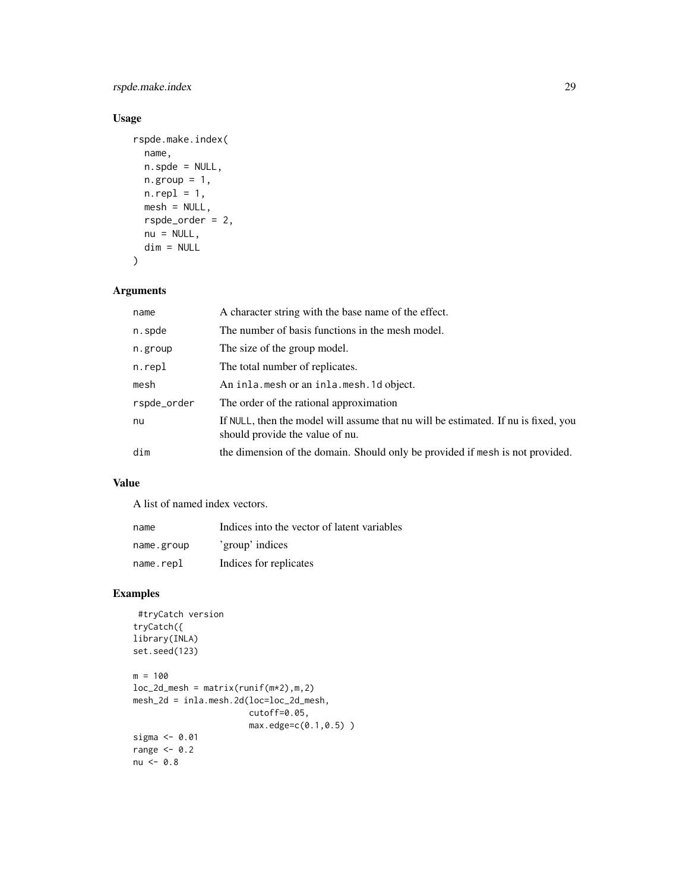# rspde.make.index 29

# Usage

```
rspde.make.index(
  name,
  n.spde = NULL,
 n.group = 1,n.rep1 = 1,
 mesh = NULL,rspde_order = 2,
 nu = NULL,dim = NULL
\mathcal{L}
```
# Arguments

| name        | A character string with the base name of the effect.                                                                  |
|-------------|-----------------------------------------------------------------------------------------------------------------------|
| n.spde      | The number of basis functions in the mesh model.                                                                      |
| n.group     | The size of the group model.                                                                                          |
| n.repl      | The total number of replicates.                                                                                       |
| mesh        | An inla.mesh or an inla.mesh.1d object.                                                                               |
| rspde_order | The order of the rational approximation                                                                               |
| nu          | If NULL, then the model will assume that nu will be estimated. If nu is fixed, you<br>should provide the value of nu. |
| dim         | the dimension of the domain. Should only be provided if mesh is not provided.                                         |

# Value

A list of named index vectors.

| name       | Indices into the vector of latent variables |
|------------|---------------------------------------------|
| name.group | 'group' indices                             |
| name.repl  | Indices for replicates                      |

```
#tryCatch version
tryCatch({
library(INLA)
set.seed(123)
m = 100loc_2d_mesh = matrix(runif(m*2),m,2)mesh_2d = inla.mesh.2d(loc=loc_2d_mesh,
                      cutoff=0.05,
                      max.edge=c(0.1,0.5) )
sigma <- 0.01
range <-0.2nu < -0.8
```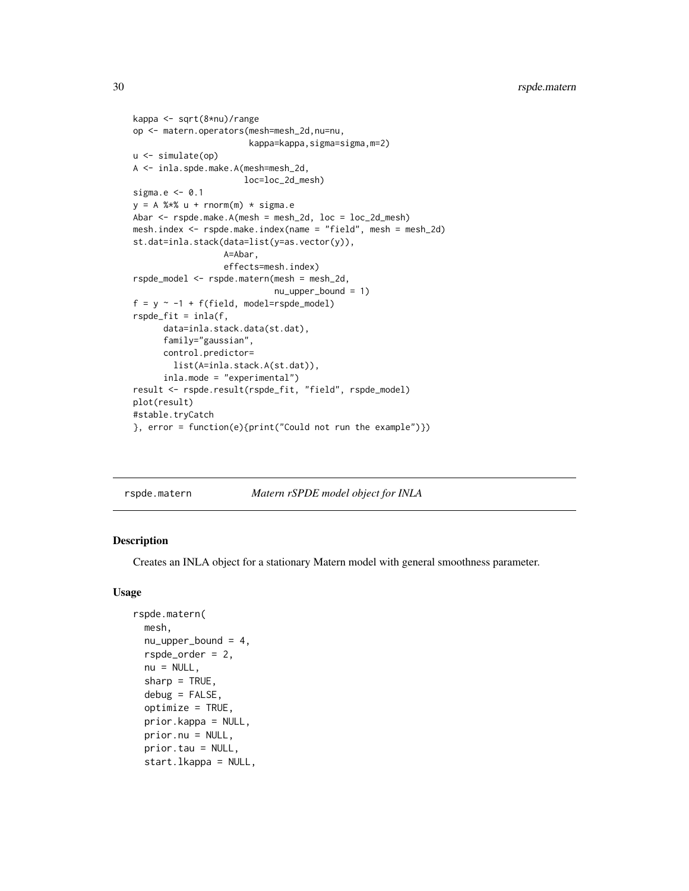```
kappa <- sqrt(8*nu)/range
op <- matern.operators(mesh=mesh_2d,nu=nu,
                       kappa=kappa,sigma=sigma,m=2)
u <- simulate(op)
A <- inla.spde.make.A(mesh=mesh_2d,
                      loc=loc_2d_mesh)
sigma.e <- 0.1
y = A %*% u + rnorm(m) * sigma.eAbar <- rspde.make.A(mesh = mesh_2d, loc = loc_2d_mesh)
mesh.index <- rspde.make.index(name = "field", mesh = mesh_2d)
st.dat=inla.stack(data=list(y=as.vector(y)),
                  A=Abar,
                  effects=mesh.index)
rspde_model <- rspde.matern(mesh = mesh_2d,
                            nu_upper_bound = 1)
f = y \sim -1 + f(field, model = rspde_model)rspde_fit = inla(f,
      data=inla.stack.data(st.dat),
      family="gaussian",
      control.predictor=
        list(A=inla.stack.A(st.dat)),
      inla.mode = "experimental")
result <- rspde.result(rspde_fit, "field", rspde_model)
plot(result)
#stable.tryCatch
}, error = function(e){print("Could not run the example")})
```
<span id="page-29-1"></span>

|  | Matern rSPDE model object for INLA |
|--|------------------------------------|

# Description

Creates an INLA object for a stationary Matern model with general smoothness parameter.

# Usage

```
rspde.matern(
 mesh,
  nu\_upper\_bound = 4,
  rspde_order = 2,
  nu = NULL,sharp = TRUE,debug = FALSE,
  optimize = TRUE,
  prior.kappa = NULL,
 prior.nu = NULL,
  prior.tau = NULL,
  start.lkappa = NULL,
```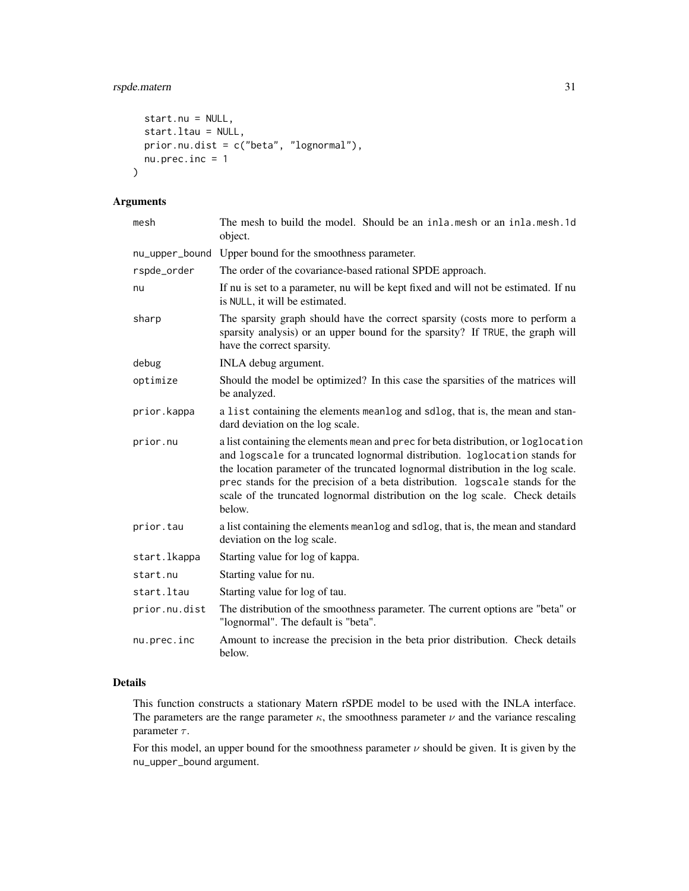```
start.nu = NULL,
  start.ltau = NULL,
 prior.nu.dist = c("beta", "lognormal"),
 nu. prec.inc = 1\mathcal{L}
```
# Arguments

| mesh           | The mesh to build the model. Should be an inla.mesh or an inla.mesh.1d<br>object.                                                                                                                                                                                                                                                                                                                                                 |
|----------------|-----------------------------------------------------------------------------------------------------------------------------------------------------------------------------------------------------------------------------------------------------------------------------------------------------------------------------------------------------------------------------------------------------------------------------------|
| nu_upper_bound | Upper bound for the smoothness parameter.                                                                                                                                                                                                                                                                                                                                                                                         |
| rspde_order    | The order of the covariance-based rational SPDE approach.                                                                                                                                                                                                                                                                                                                                                                         |
| nu             | If nu is set to a parameter, nu will be kept fixed and will not be estimated. If nu<br>is NULL, it will be estimated.                                                                                                                                                                                                                                                                                                             |
| sharp          | The sparsity graph should have the correct sparsity (costs more to perform a<br>sparsity analysis) or an upper bound for the sparsity? If TRUE, the graph will<br>have the correct sparsity.                                                                                                                                                                                                                                      |
| debug          | INLA debug argument.                                                                                                                                                                                                                                                                                                                                                                                                              |
| optimize       | Should the model be optimized? In this case the sparsities of the matrices will<br>be analyzed.                                                                                                                                                                                                                                                                                                                                   |
| prior.kappa    | a list containing the elements meanlog and sdlog, that is, the mean and stan-<br>dard deviation on the log scale.                                                                                                                                                                                                                                                                                                                 |
| prior.nu       | a list containing the elements mean and prec for beta distribution, or loglocation<br>and logscale for a truncated lognormal distribution. loglocation stands for<br>the location parameter of the truncated lognormal distribution in the log scale.<br>prec stands for the precision of a beta distribution. logscale stands for the<br>scale of the truncated lognormal distribution on the log scale. Check details<br>below. |
| prior.tau      | a list containing the elements meanlog and sdlog, that is, the mean and standard<br>deviation on the log scale.                                                                                                                                                                                                                                                                                                                   |
| start.lkappa   | Starting value for log of kappa.                                                                                                                                                                                                                                                                                                                                                                                                  |
| start.nu       | Starting value for nu.                                                                                                                                                                                                                                                                                                                                                                                                            |
| start.ltau     | Starting value for log of tau.                                                                                                                                                                                                                                                                                                                                                                                                    |
| prior.nu.dist  | The distribution of the smoothness parameter. The current options are "beta" or<br>"lognormal". The default is "beta".                                                                                                                                                                                                                                                                                                            |
| nu.prec.inc    | Amount to increase the precision in the beta prior distribution. Check details<br>below.                                                                                                                                                                                                                                                                                                                                          |

# Details

This function constructs a stationary Matern rSPDE model to be used with the INLA interface. The parameters are the range parameter  $\kappa$ , the smoothness parameter  $\nu$  and the variance rescaling parameter  $\tau$ .

For this model, an upper bound for the smoothness parameter  $\nu$  should be given. It is given by the nu\_upper\_bound argument.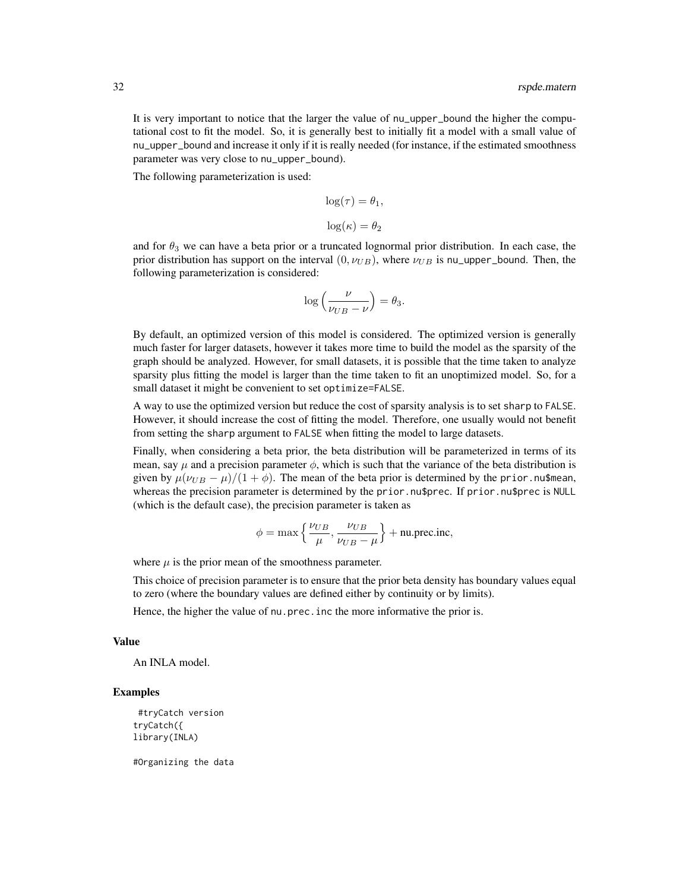It is very important to notice that the larger the value of nu\_upper\_bound the higher the computational cost to fit the model. So, it is generally best to initially fit a model with a small value of nu\_upper\_bound and increase it only if it is really needed (for instance, if the estimated smoothness parameter was very close to nu\_upper\_bound).

The following parameterization is used:

$$
log(\tau) = \theta_1,
$$
  

$$
log(\kappa) = \theta_2
$$

and for  $\theta_3$  we can have a beta prior or a truncated lognormal prior distribution. In each case, the prior distribution has support on the interval  $(0, \nu_{UB})$ , where  $\nu_{UB}$  is nu\_upper\_bound. Then, the following parameterization is considered:

$$
\log\left(\frac{\nu}{\nu_{UB} - \nu}\right) = \theta_3.
$$

By default, an optimized version of this model is considered. The optimized version is generally much faster for larger datasets, however it takes more time to build the model as the sparsity of the graph should be analyzed. However, for small datasets, it is possible that the time taken to analyze sparsity plus fitting the model is larger than the time taken to fit an unoptimized model. So, for a small dataset it might be convenient to set optimize=FALSE.

A way to use the optimized version but reduce the cost of sparsity analysis is to set sharp to FALSE. However, it should increase the cost of fitting the model. Therefore, one usually would not benefit from setting the sharp argument to FALSE when fitting the model to large datasets.

Finally, when considering a beta prior, the beta distribution will be parameterized in terms of its mean, say  $\mu$  and a precision parameter  $\phi$ , which is such that the variance of the beta distribution is given by  $\mu(\nu_{UB} - \mu)/(1 + \phi)$ . The mean of the beta prior is determined by the prior. nu\$mean, whereas the precision parameter is determined by the prior.nu\$prec. If prior.nu\$prec is NULL (which is the default case), the precision parameter is taken as

$$
\phi = \max\left\{\frac{\nu_{UB}}{\mu}, \frac{\nu_{UB}}{\nu_{UB} - \mu}\right\} + \text{nu.prec.inc},
$$

where  $\mu$  is the prior mean of the smoothness parameter.

This choice of precision parameter is to ensure that the prior beta density has boundary values equal to zero (where the boundary values are defined either by continuity or by limits).

Hence, the higher the value of nu.prec. inc the more informative the prior is.

#### Value

An INLA model.

#### Examples

```
#tryCatch version
tryCatch({
library(INLA)
```
#Organizing the data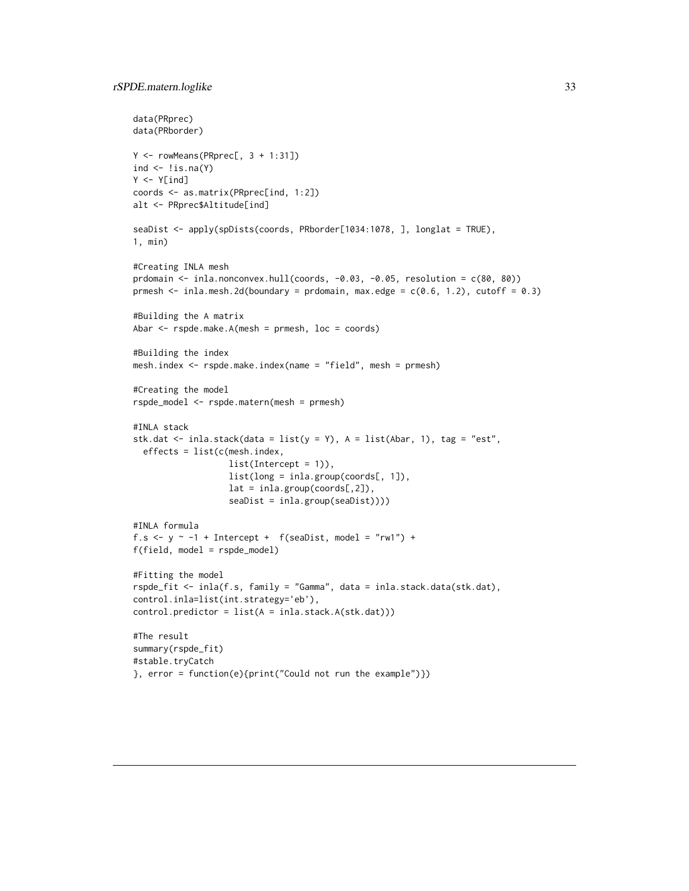```
data(PRprec)
data(PRborder)
Y \leq -\text{ rowMeans(PRprec[, 3 + 1:31])}ind \leftarrow !is.na(Y)
Y < -Y[ind]coords <- as.matrix(PRprec[ind, 1:2])
alt <- PRprec$Altitude[ind]
seaDist <- apply(spDists(coords, PRborder[1034:1078, ], longlat = TRUE),
1, min)
#Creating INLA mesh
prdomain \le inla.nonconvex.hull(coords, -0.03, -0.05, resolution = c(80, 80))
prmesh \le inla.mesh.2d(boundary = prdomain, max.edge = c(0.6, 1.2), cutoff = 0.3)
#Building the A matrix
Abar <- rspde.make.A(mesh = prmesh, loc = coords)
#Building the index
mesh.index <- rspde.make.index(name = "field", mesh = prmesh)
#Creating the model
rspde_model <- rspde.matern(mesh = prmesh)
#INLA stack
stk.dat <- inla.stack(data = list(y = Y), A = list(Abar, 1), tag = "est",
  effects = list(c(mesh.index,
                   list(Intercept = 1)),
                   list(long = inla.group(coords[, 1]),
                   lat = inla.group(coords[,2]),
                   seaDist = inla.group(seaDist))))
#INLA formula
f.s <- y \sim -1 + Intercept + f(seaDist, model = "rw1") +
f(field, model = rspde_model)
#Fitting the model
rspde_fit <- inla(f.s, family = "Gamma", data = inla.stack.data(stk.dat),
control.inla=list(int.strategy='eb'),
control.predictor = list(A = inla.state.A(stk.dat)))#The result
summary(rspde_fit)
#stable.tryCatch
}, error = function(e){print("Could not run the example")})
```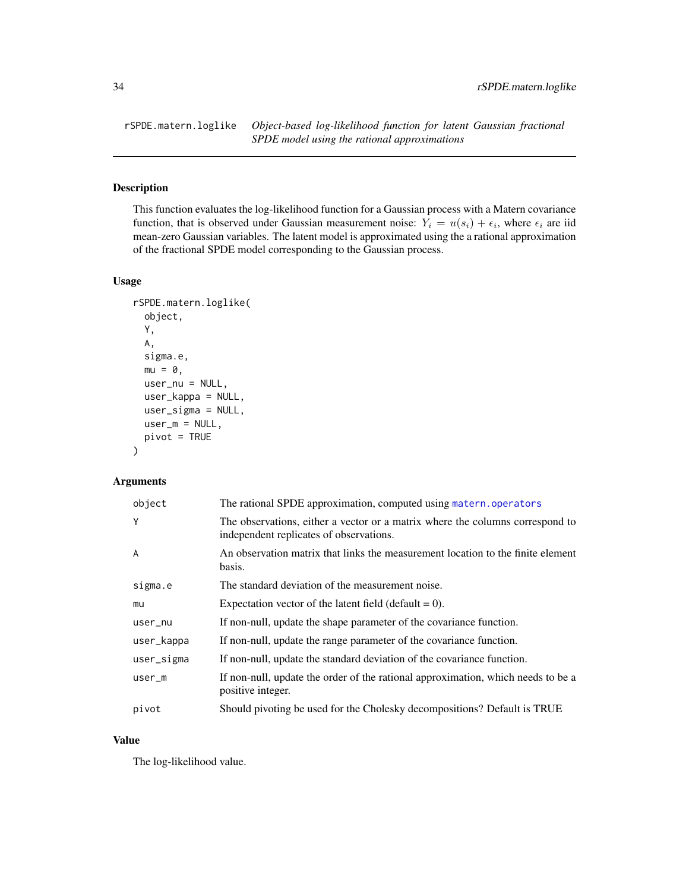<span id="page-33-0"></span>rSPDE.matern.loglike *Object-based log-likelihood function for latent Gaussian fractional SPDE model using the rational approximations*

# Description

This function evaluates the log-likelihood function for a Gaussian process with a Matern covariance function, that is observed under Gaussian measurement noise:  $Y_i = u(s_i) + \epsilon_i$ , where  $\epsilon_i$  are iid mean-zero Gaussian variables. The latent model is approximated using the a rational approximation of the fractional SPDE model corresponding to the Gaussian process.

#### Usage

```
rSPDE.matern.loglike(
  object,
 Y,
 A,
  sigma.e,
 mu = 0,
 user_nu = NULL,
 user_kappa = NULL,
 user_sigma = NULL,
 user_m = NULL,
 pivot = TRUE)
```
# Arguments

| object     | The rational SPDE approximation, computed using matern, operators                                                        |
|------------|--------------------------------------------------------------------------------------------------------------------------|
| Y          | The observations, either a vector or a matrix where the columns correspond to<br>independent replicates of observations. |
| A          | An observation matrix that links the measurement location to the finite element<br>basis.                                |
| sigma.e    | The standard deviation of the measurement noise.                                                                         |
| mu         | Expectation vector of the latent field (default $= 0$ ).                                                                 |
| user_nu    | If non-null, update the shape parameter of the covariance function.                                                      |
| user_kappa | If non-null, update the range parameter of the covariance function.                                                      |
| user_sigma | If non-null, update the standard deviation of the covariance function.                                                   |
| $user_m$   | If non-null, update the order of the rational approximation, which needs to be a<br>positive integer.                    |
| pivot      | Should pivoting be used for the Cholesky decompositions? Default is TRUE                                                 |

# Value

The log-likelihood value.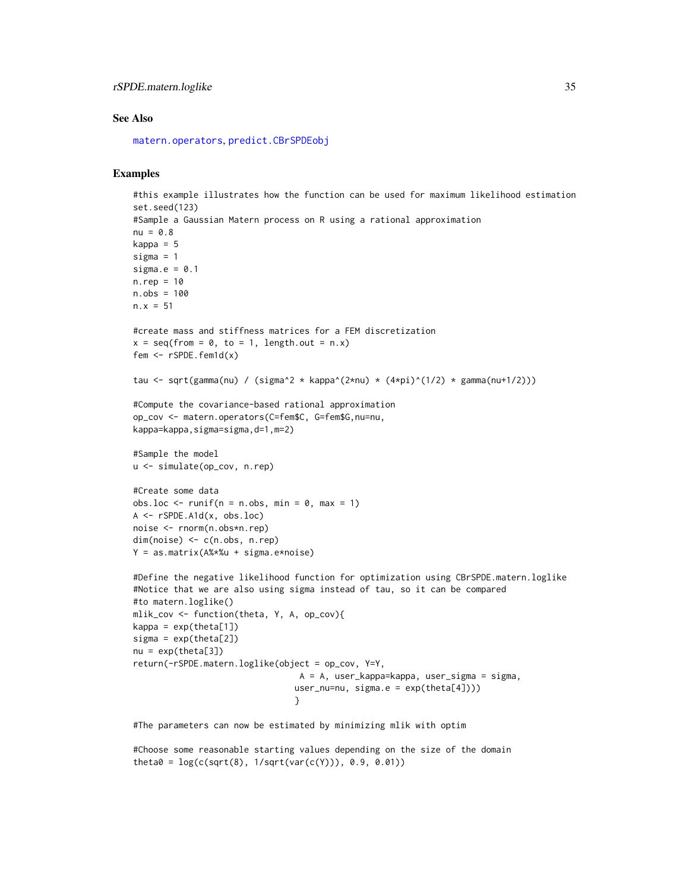# <span id="page-34-0"></span>rSPDE.matern.loglike 35

#### See Also

[matern.operators](#page-11-1), [predict.CBrSPDEobj](#page-18-1)

# Examples

```
#this example illustrates how the function can be used for maximum likelihood estimation
set.seed(123)
#Sample a Gaussian Matern process on R using a rational approximation
nu = 0.8kappa = 5sigma = 1sigma.e = 0.1n.rep = 10n.obs = 100
n.x = 51#create mass and stiffness matrices for a FEM discretization
x = \text{seq}(\text{from} = \emptyset, \text{to} = 1, \text{length.out} = \text{n.x})fem \leq rSPDE.fem1d(x)
tau \leq sqrt(gamma(nu) / (sigma^2 * kappa^(2*nu) * (4*pi)^(1/2) * gamma(nu+1/2)))
#Compute the covariance-based rational approximation
op_cov <- matern.operators(C=fem$C, G=fem$G,nu=nu,
kappa=kappa,sigma=sigma,d=1,m=2)
#Sample the model
u <- simulate(op_cov, n.rep)
#Create some data
obs.loc \le runif(n = n.obs, min = 0, max = 1)
A <- rSPDE.A1d(x, obs.loc)
noise <- rnorm(n.obs*n.rep)
dim(noise) <- c(n.obs, n.rep)
Y = as.matrix(A%*%u + sigma.e*noise)
#Define the negative likelihood function for optimization using CBrSPDE.matern.loglike
#Notice that we are also using sigma instead of tau, so it can be compared
#to matern.loglike()
mlik_cov <- function(theta, Y, A, op_cov){
kappa = exp(theta[1])signa = exp(theta[2])nu = exp(theta[3])return(-rSPDE.matern.loglike(object = op_cov, Y=Y,
                                  A = A, user_kappa=kappa, user_sigma = sigma,
                                 user_nu=nu, sigma.e = exp(theta[4]))}
#The parameters can now be estimated by minimizing mlik with optim
```
#Choose some reasonable starting values depending on the size of the domain theta $0 = \log(c(sqrt(8), 1/sqrt(var(c(Y))), 0.9, 0.01))$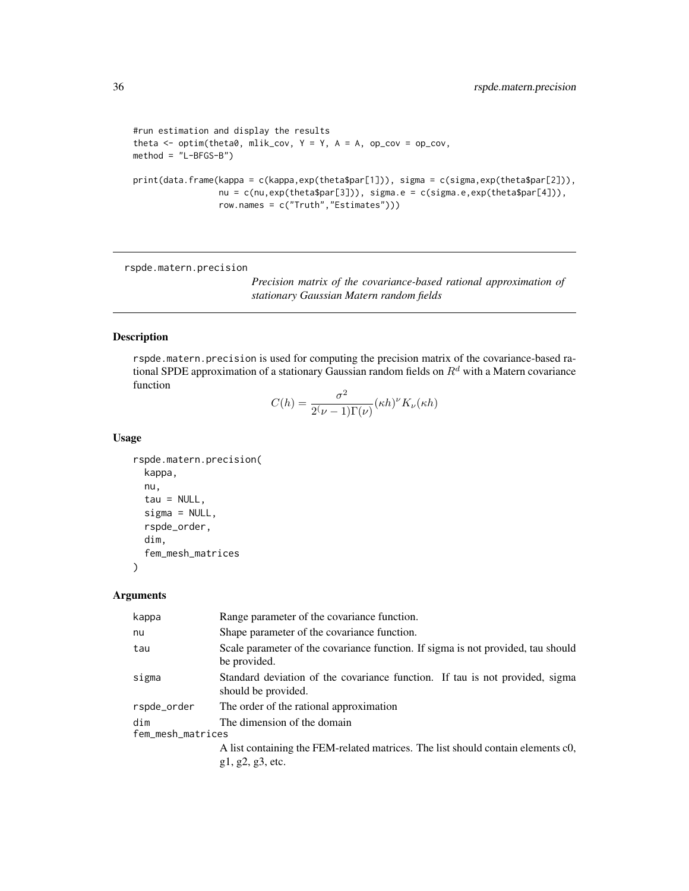```
#run estimation and display the results
theta \leq optim(theta0, mlik_cov, Y = Y, A = A, op_cov = op_cov,
method = "L-BFGS-B")print(data.frame(kappa = c(kappa,exp(theta$par[1])), sigma = c(sigma,exp(theta$par[2])),
                 nu = c(nu,exp(theta$par[3])), sigma.e = c(sigma.e,exp(theta$par[4])),
                 row.names = c("Truth","Estimates")))
```
rspde.matern.precision

*Precision matrix of the covariance-based rational approximation of stationary Gaussian Matern random fields*

# Description

rspde.matern.precision is used for computing the precision matrix of the covariance-based rational SPDE approximation of a stationary Gaussian random fields on  $R<sup>d</sup>$  with a Matern covariance function

$$
C(h) = \frac{\sigma^2}{2(\nu - 1)\Gamma(\nu)} (\kappa h)^{\nu} K_{\nu}(\kappa h)
$$

#### Usage

```
rspde.matern.precision(
 kappa,
  nu,
  tau = NULL,signa = NULL,rspde_order,
 dim,
  fem_mesh_matrices
```
)

#### Arguments

| Range parameter of the covariance function.                                                          |
|------------------------------------------------------------------------------------------------------|
| Shape parameter of the covariance function.                                                          |
| Scale parameter of the covariance function. If sigma is not provided, tau should<br>be provided.     |
| Standard deviation of the covariance function. If tau is not provided, sigma<br>should be provided.  |
| The order of the rational approximation                                                              |
| The dimension of the domain<br>fem_mesh_matrices                                                     |
| A list containing the FEM-related matrices. The list should contain elements c0,<br>g1, g2, g3, etc. |
|                                                                                                      |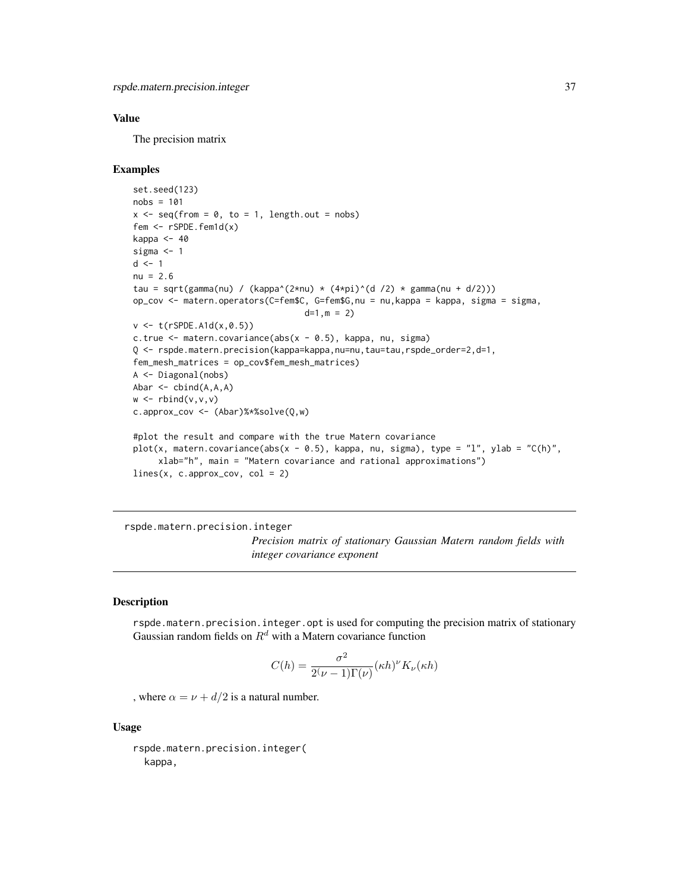# <span id="page-36-0"></span>Value

The precision matrix

#### Examples

```
set.seed(123)
nobs = 101
x \leq -\text{seq}(\text{from} = 0, \text{to} = 1, \text{length.out} = \text{nobs})fem <- rSPDE.fem1d(x)
kappa <-40sigma <- 1
d \leq -1nu = 2.6tau = sqrt(gamma(nu) / (kappa^(2*nu) * (4*pi)^(d /2) * gamma(nu + d/2)))
op_cov <- matern.operators(C=fem$C, G=fem$G,nu = nu,kappa = kappa, sigma = sigma,
                                    d=1, m = 2)v < - t(rSPDE.A1d(x,0.5))
c.true <- matern.covariance(abs(x - 0.5), kappa, nu, sigma)
Q <- rspde.matern.precision(kappa=kappa,nu=nu,tau=tau,rspde_order=2,d=1,
fem_mesh_matrices = op_cov$fem_mesh_matrices)
A <- Diagonal(nobs)
Abar \leq cbind(A,A,A)
w \leftarrow \text{rbind}(v, v, v)c.approx_cov <- (Abar)%*%solve(Q,w)
#plot the result and compare with the true Matern covariance
plot(x, matern.covariance(abs(x - 0.5), kappa, nu, sigma), type = "l", ylab = "C(h)",
     xlab="h", main = "Matern covariance and rational approximations")
lines(x, c.appendy cov, col = 2)
```
rspde.matern.precision.integer

*Precision matrix of stationary Gaussian Matern random fields with integer covariance exponent*

#### Description

rspde.matern.precision.integer.opt is used for computing the precision matrix of stationary Gaussian random fields on  $R^d$  with a Matern covariance function

$$
C(h) = \frac{\sigma^2}{2(\nu - 1)\Gamma(\nu)} (\kappa h)^{\nu} K_{\nu}(\kappa h)
$$

, where  $\alpha = \nu + d/2$  is a natural number.

#### Usage

rspde.matern.precision.integer( kappa,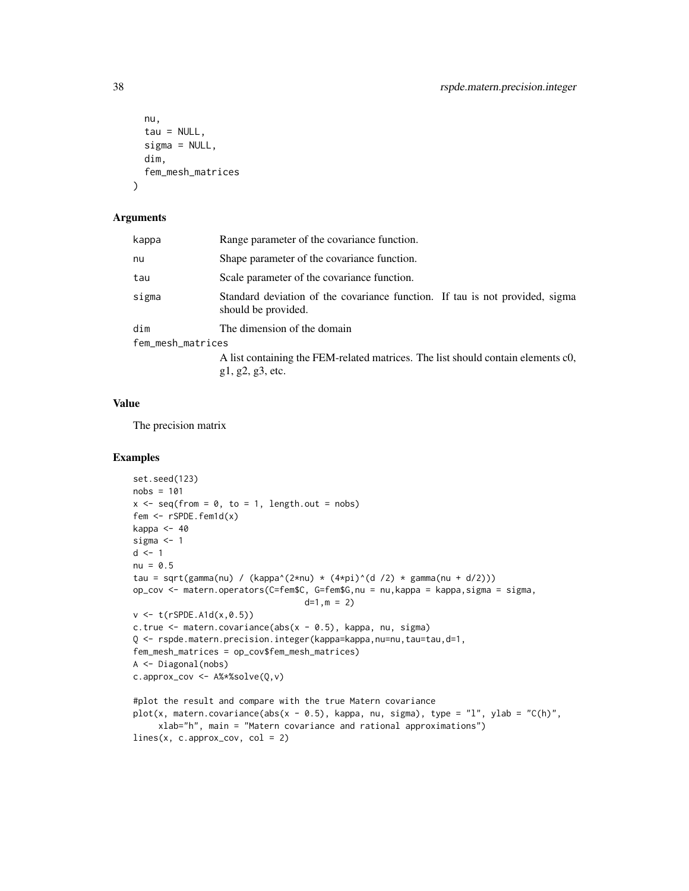```
nu,
  tau = NULL,sigma = NULL,dim,
  fem_mesh_matrices
)
```
#### Arguments

| kappa             | Range parameter of the covariance function.                                                         |
|-------------------|-----------------------------------------------------------------------------------------------------|
| nu                | Shape parameter of the covariance function.                                                         |
| tau               | Scale parameter of the covariance function.                                                         |
| sigma             | Standard deviation of the covariance function. If tau is not provided, sigma<br>should be provided. |
| dim               | The dimension of the domain                                                                         |
| fem_mesh_matrices |                                                                                                     |
|                   | A list containing the FEM-related matrices. The list should contain elements c0,                    |

g1, g2, g3, etc.

#### Value

The precision matrix

```
set.seed(123)
nobs = 101
x \leq -\text{seq}(\text{from} = 0, \text{to} = 1, \text{length.out} = \text{nobs})fem <- rSPDE.fem1d(x)
kappa <-40sigma <-1d \leq -1nu = 0.5tau = sqrt(gamma(nu) / (kappa^(2*nu) * (4*pi)^(d /2) * gamma(nu + d/2)))
op_cov <- matern.operators(C=fem$C, G=fem$G,nu = nu,kappa = kappa,sigma = sigma,
                                   d=1, m = 2)v \le -t (rSPDE.A1d(x,0.5))
c.true <- matern.covariance(abs(x - 0.5), kappa, nu, sigma)
Q <- rspde.matern.precision.integer(kappa=kappa,nu=nu,tau=tau,d=1,
fem_mesh_matrices = op_cov$fem_mesh_matrices)
A <- Diagonal(nobs)
c.approx_cov <- A%*%solve(Q,v)
#plot the result and compare with the true Matern covariance
plot(x, matern.covariance(abs(x - 0.5), kappa, nu, sigma), type = "l", ylab = "C(h)",
     xlab="h", main = "Matern covariance and rational approximations")
```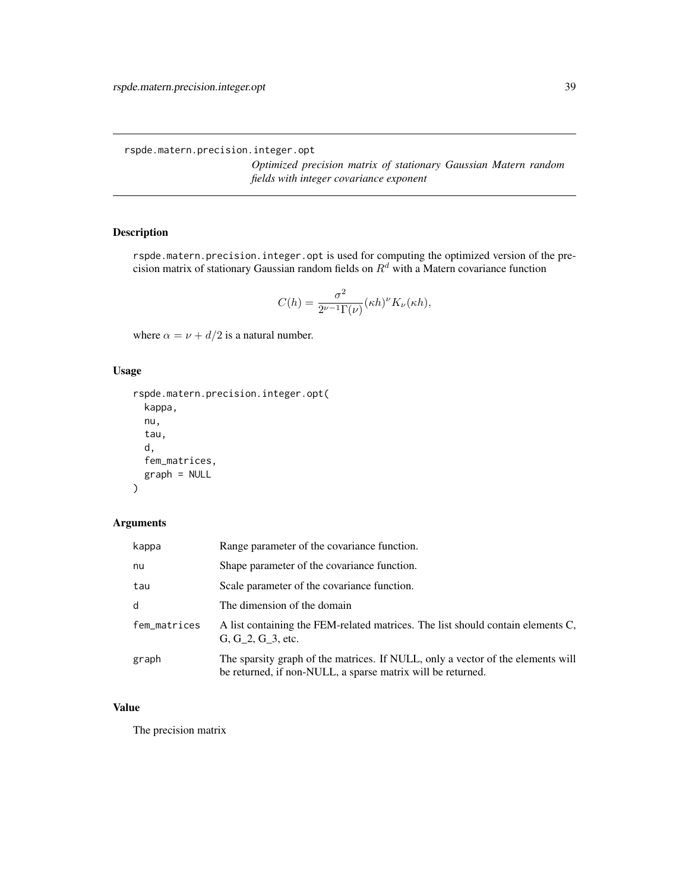<span id="page-38-0"></span>rspde.matern.precision.integer.opt

*Optimized precision matrix of stationary Gaussian Matern random fields with integer covariance exponent*

# Description

rspde.matern.precision.integer.opt is used for computing the optimized version of the precision matrix of stationary Gaussian random fields on  $R^d$  with a Matern covariance function

$$
C(h) = \frac{\sigma^2}{2^{\nu-1}\Gamma(\nu)} (\kappa h)^{\nu} K_{\nu}(\kappa h),
$$

where  $\alpha = \nu + d/2$  is a natural number.

# Usage

```
rspde.matern.precision.integer.opt(
 kappa,
 nu,
  tau,
 d,
  fem_matrices,
  graph = NULL
)
```
# Arguments

| kappa        | Range parameter of the covariance function.                                                                                                    |
|--------------|------------------------------------------------------------------------------------------------------------------------------------------------|
| nu           | Shape parameter of the covariance function.                                                                                                    |
| tau          | Scale parameter of the covariance function.                                                                                                    |
| d            | The dimension of the domain                                                                                                                    |
| fem_matrices | A list containing the FEM-related matrices. The list should contain elements C,<br>G, G 2, G 3, etc.                                           |
| graph        | The sparsity graph of the matrices. If NULL, only a vector of the elements will<br>be returned, if non-NULL, a sparse matrix will be returned. |

# Value

The precision matrix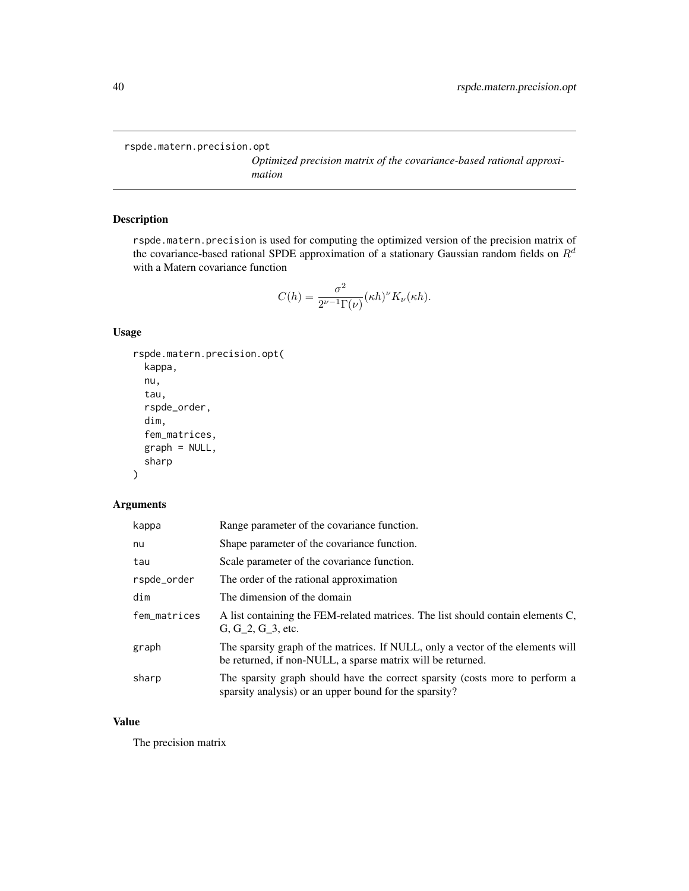<span id="page-39-0"></span>rspde.matern.precision.opt

*Optimized precision matrix of the covariance-based rational approximation*

# Description

rspde.matern.precision is used for computing the optimized version of the precision matrix of the covariance-based rational SPDE approximation of a stationary Gaussian random fields on  $R<sup>d</sup>$ with a Matern covariance function

$$
C(h) = \frac{\sigma^2}{2^{\nu-1}\Gamma(\nu)} (\kappa h)^{\nu} K_{\nu}(\kappa h).
$$

#### Usage

```
rspde.matern.precision.opt(
 kappa,
 nu,
  tau,
  rspde_order,
 dim,
  fem_matrices,
 graph = NULL,sharp
```
#### )

#### Arguments

| kappa        | Range parameter of the covariance function.                                                                                                    |
|--------------|------------------------------------------------------------------------------------------------------------------------------------------------|
| nu           | Shape parameter of the covariance function.                                                                                                    |
| tau          | Scale parameter of the covariance function.                                                                                                    |
| rspde_order  | The order of the rational approximation                                                                                                        |
| dim          | The dimension of the domain                                                                                                                    |
| fem_matrices | A list containing the FEM-related matrices. The list should contain elements C,<br>G, G 2, G 3, etc.                                           |
| graph        | The sparsity graph of the matrices. If NULL, only a vector of the elements will<br>be returned, if non-NULL, a sparse matrix will be returned. |
| sharp        | The sparsity graph should have the correct sparsity (costs more to perform a<br>sparsity analysis) or an upper bound for the sparsity?         |

# Value

The precision matrix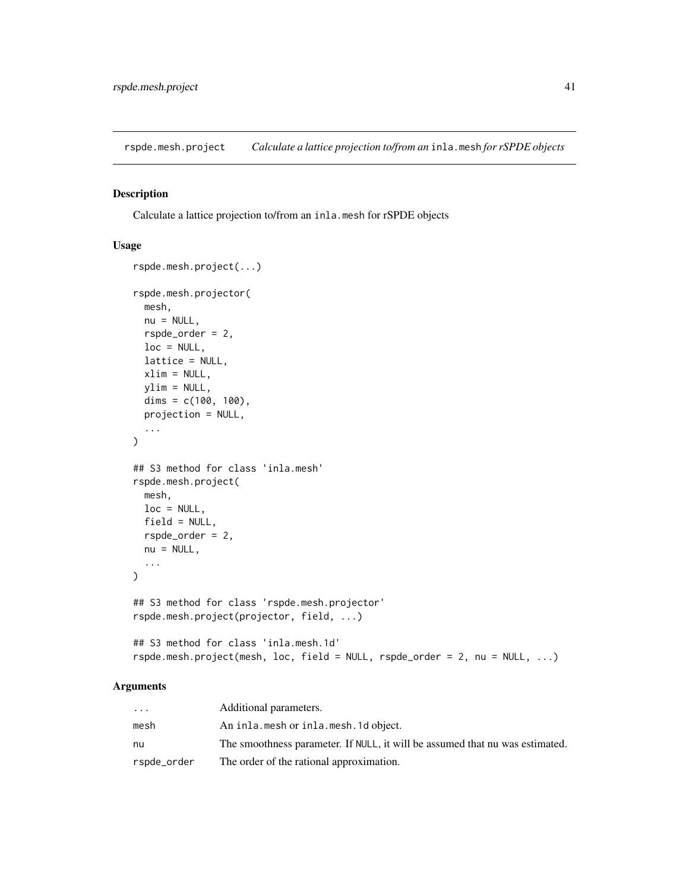<span id="page-40-0"></span>rspde.mesh.project *Calculate a lattice projection to/from an* inla.mesh *for rSPDE objects*

# Description

Calculate a lattice projection to/from an inla.mesh for rSPDE objects

# Usage

```
rspde.mesh.project(...)
rspde.mesh.projector(
 mesh,
 nu = NULL,rspde_order = 2,
 loc = NULL,lattice = NULL,
 xlim = NULL,ylim = NULL,
 dims = c(100, 100),
 projection = NULL,
  ...
\mathcal{L}## S3 method for class 'inla.mesh'
rspde.mesh.project(
 mesh,
 loc = NULL,field = NULL,
 rspde_order = 2,
 nu = NULL,...
)
## S3 method for class 'rspde.mesh.projector'
rspde.mesh.project(projector, field, ...)
## S3 method for class 'inla.mesh.1d'
rspde.mesh.project(mesh, loc, field = NULL, rspde_order = 2, nu = NULL, ...)
```
# Arguments

| $\ddotsc$   | Additional parameters.                                                       |
|-------------|------------------------------------------------------------------------------|
| mesh        | An inla.mesh or inla.mesh.1d object.                                         |
| nu          | The smoothness parameter. If NULL, it will be assumed that nu was estimated. |
| rspde_order | The order of the rational approximation.                                     |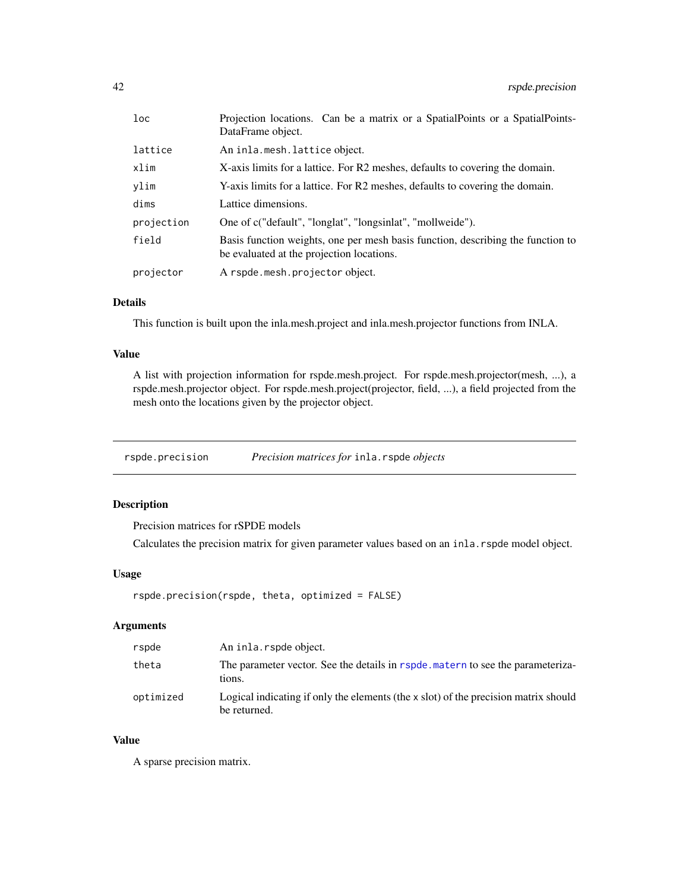<span id="page-41-0"></span>

| $1$ oc     | Projection locations. Can be a matrix or a Spatial Points or a Spatial Points-<br>DataFrame object.                          |  |
|------------|------------------------------------------------------------------------------------------------------------------------------|--|
| lattice    | An inla.mesh.lattice object.                                                                                                 |  |
| xlim       | X-axis limits for a lattice. For R2 meshes, defaults to covering the domain.                                                 |  |
| ylim       | Y-axis limits for a lattice. For R2 meshes, defaults to covering the domain.                                                 |  |
| dims       | Lattice dimensions.                                                                                                          |  |
| projection | One of c("default", "longlat", "longsinlat", "mollweide").                                                                   |  |
| field      | Basis function weights, one per mesh basis function, describing the function to<br>be evaluated at the projection locations. |  |
| projector  | A rspde.mesh.projector object.                                                                                               |  |

# Details

This function is built upon the inla.mesh.project and inla.mesh.projector functions from INLA.

# Value

A list with projection information for rspde.mesh.project. For rspde.mesh.projector(mesh, ...), a rspde.mesh.projector object. For rspde.mesh.project(projector, field, ...), a field projected from the mesh onto the locations given by the projector object.

rspde.precision *Precision matrices for* inla.rspde *objects*

# Description

Precision matrices for rSPDE models

Calculates the precision matrix for given parameter values based on an inla.rspde model object.

# Usage

rspde.precision(rspde, theta, optimized = FALSE)

# Arguments

| rspde     | An inla. rspde object.                                                                                |
|-----------|-------------------------------------------------------------------------------------------------------|
| theta     | The parameter vector. See the details in rspde, matern to see the parameteriza-<br>tions.             |
| optimized | Logical indicating if only the elements (the $x$ slot) of the precision matrix should<br>be returned. |

# Value

A sparse precision matrix.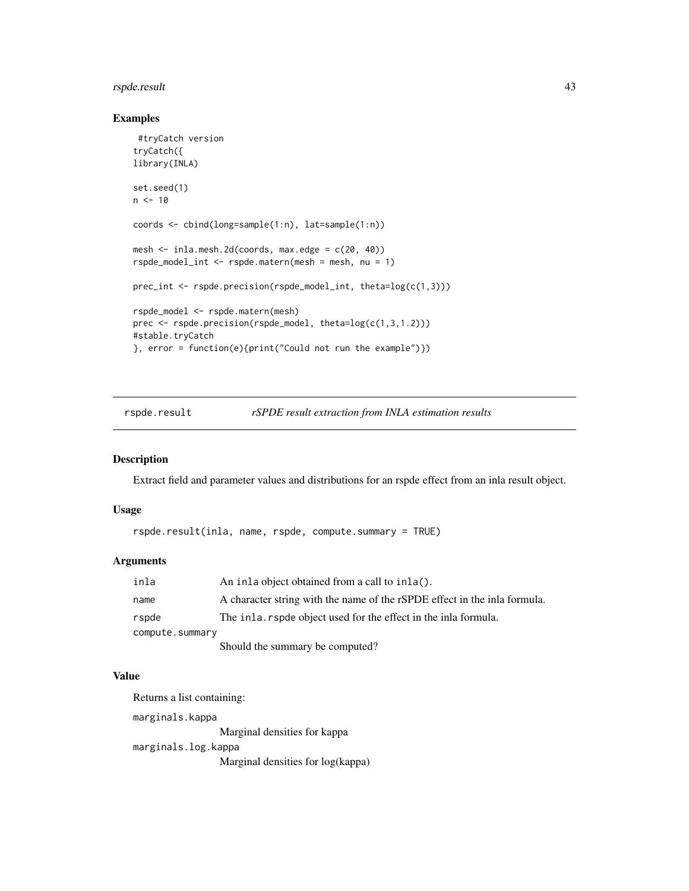# <span id="page-42-0"></span>rspde.result 43

# Examples

```
#tryCatch version
tryCatch({
library(INLA)
set.seed(1)
n < -10coords <- cbind(long=sample(1:n), lat=sample(1:n))
mesh <- inla.mesh.2d(coords, max.edge = c(20, 40))
rspde_model_int <- rspde.matern(mesh = mesh, nu = 1)
prec_int <- rspde.precision(rspde_model_int, theta=log(c(1,3)))
rspde_model <- rspde.matern(mesh)
prec <- rspde.precision(rspde_model, theta=log(c(1,3,1.2)))
#stable.tryCatch
}, error = function(e){print("Could not run the example")})
```
rspde.result *rSPDE result extraction from INLA estimation results*

# Description

Extract field and parameter values and distributions for an rspde effect from an inla result object.

#### Usage

```
rspde.result(inla, name, rspde, compute.summary = TRUE)
```
# Arguments

| inla            | An inla object obtained from a call to inla().                            |
|-----------------|---------------------------------------------------------------------------|
| name            | A character string with the name of the rSPDE effect in the inla formula. |
| rspde           | The inla. rspde object used for the effect in the inla formula.           |
| compute.summary |                                                                           |
|                 | Should the summary be computed?                                           |

#### Value

Returns a list containing: marginals.kappa

Marginal densities for kappa

marginals.log.kappa

Marginal densities for log(kappa)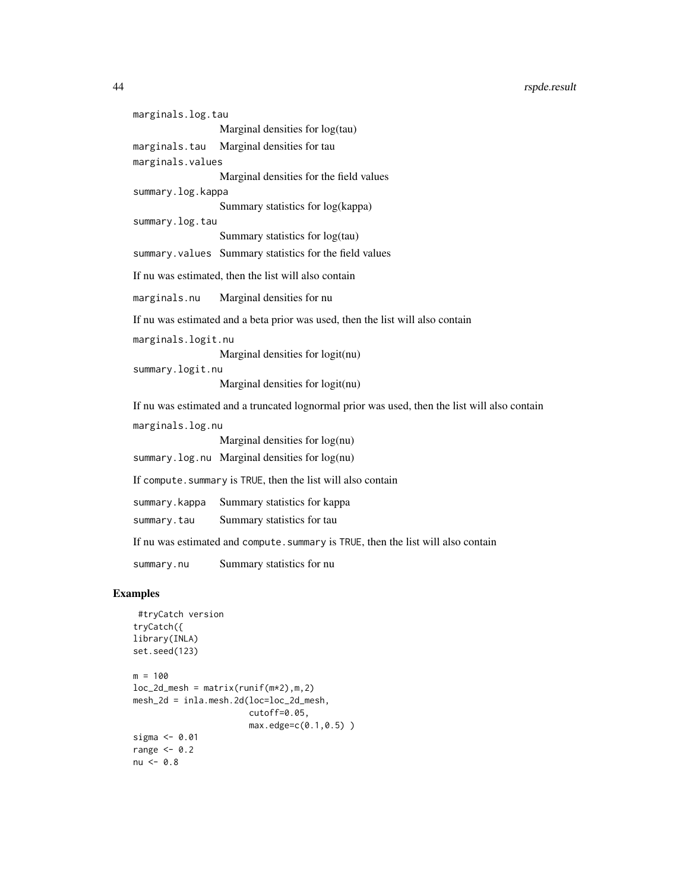marginals.log.tau Marginal densities for log(tau) marginals.tau Marginal densities for tau marginals.values Marginal densities for the field values summary.log.kappa Summary statistics for log(kappa) summary.log.tau Summary statistics for log(tau) summary.values Summary statistics for the field values If nu was estimated, then the list will also contain marginals.nu Marginal densities for nu If nu was estimated and a beta prior was used, then the list will also contain marginals.logit.nu Marginal densities for logit(nu) summary.logit.nu Marginal densities for logit(nu) If nu was estimated and a truncated lognormal prior was used, then the list will also contain marginals.log.nu Marginal densities for log(nu) summary.log.nu Marginal densities for log(nu) If compute. summary is TRUE, then the list will also contain summary.kappa Summary statistics for kappa summary.tau Summary statistics for tau If nu was estimated and compute. summary is TRUE, then the list will also contain summary.nu Summary statistics for nu

```
#tryCatch version
tryCatch({
library(INLA)
set.seed(123)
m = 100loc_2d_mesh = matrix(runif(m*2),m,2)mesh_2d = inla.mesh.2d(loc=loc_2d_mesh,
                      cutoff=0.05,
                      max.edge=c(0.1,0.5) )
sigma <- 0.01
range <-0.2nu < -0.8
```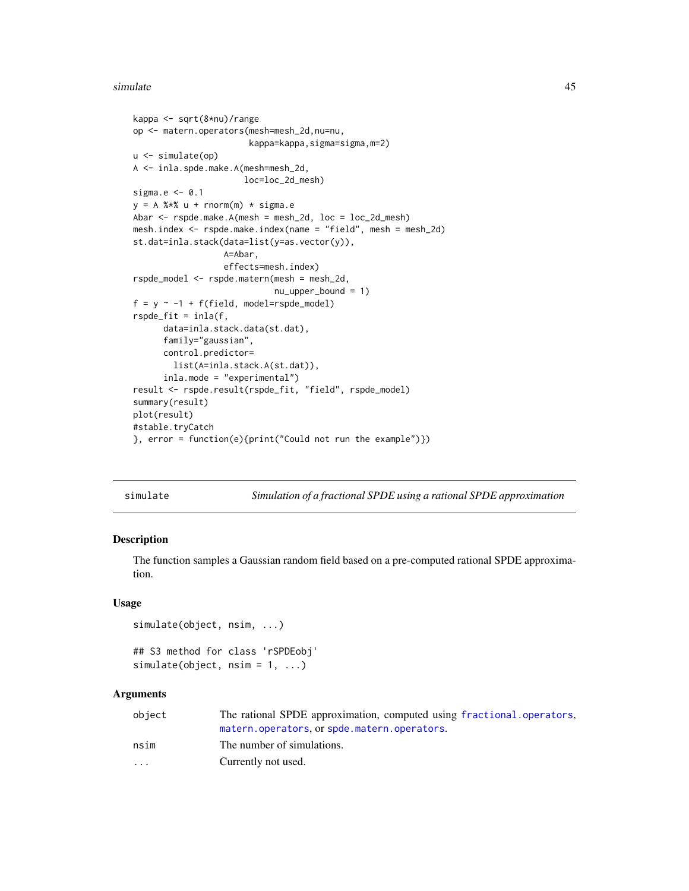#### <span id="page-44-0"></span>simulate 45

```
kappa <- sqrt(8*nu)/range
op <- matern.operators(mesh=mesh_2d,nu=nu,
                       kappa=kappa,sigma=sigma,m=2)
u <- simulate(op)
A <- inla.spde.make.A(mesh=mesh_2d,
                      loc=loc_2d_mesh)
sigma.e <- 0.1
y = A %*% u + rnorm(m) * sigma.eAbar <- rspde.make.A(mesh = mesh_2d, loc = loc_2d_mesh)
mesh.index <- rspde.make.index(name = "field", mesh = mesh_2d)
st.dat=inla.stack(data=list(y=as.vector(y)),
                  A=Abar,
                  effects=mesh.index)
rspde_model <- rspde.matern(mesh = mesh_2d,
                            nu_upper_bound = 1)
f = y \sim -1 + f(field, model = rspde_model)rspde_fit = inla(f,
      data=inla.stack.data(st.dat),
      family="gaussian",
      control.predictor=
        list(A=inla.stack.A(st.dat)),
      inla.mode = "experimental")
result <- rspde.result(rspde_fit, "field", rspde_model)
summary(result)
plot(result)
#stable.tryCatch
}, error = function(e){print("Could not run the example")})
```
simulate *Simulation of a fractional SPDE using a rational SPDE approximation*

#### <span id="page-44-1"></span>Description

The function samples a Gaussian random field based on a pre-computed rational SPDE approximation.

#### Usage

```
simulate(object, nsim, ...)
```

```
## S3 method for class 'rSPDEobj'
simulate(object, nsim = 1, ...)
```
### Arguments

| object                  | The rational SPDE approximation, computed using fractional operators, |
|-------------------------|-----------------------------------------------------------------------|
|                         | matern.operators.or spde.matern.operators.                            |
| nsim                    | The number of simulations.                                            |
| $\cdot$ $\cdot$ $\cdot$ | Currently not used.                                                   |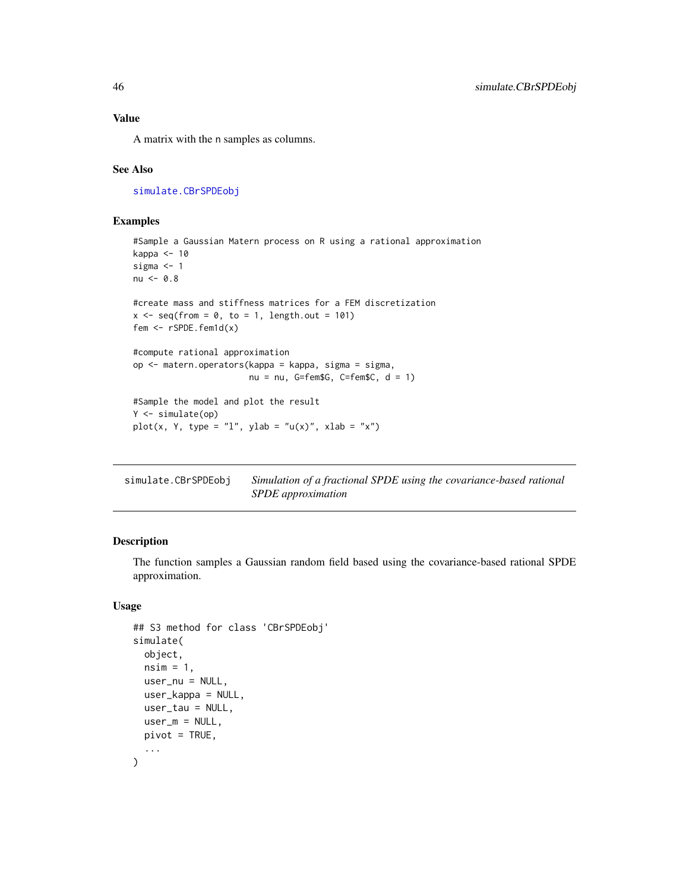<span id="page-45-0"></span>A matrix with the n samples as columns.

#### See Also

[simulate.CBrSPDEobj](#page-45-1)

### Examples

```
#Sample a Gaussian Matern process on R using a rational approximation
kappa <- 10
sigma <- 1
nu <- 0.8
#create mass and stiffness matrices for a FEM discretization
x \leq - seq(from = 0, to = 1, length.out = 101)
fem <- rSPDE.fem1d(x)
#compute rational approximation
op <- matern.operators(kappa = kappa, sigma = sigma,
                       nu = nu, G=fem$G, C=fem$C, d = 1)
#Sample the model and plot the result
Y <- simulate(op)
plot(x, Y, type = "l", ylab = "u(x)", xlab = "x")
```
<span id="page-45-1"></span>

| simulate.CBrSPDEobj | Simulation of a fractional SPDE using the covariance-based rational |
|---------------------|---------------------------------------------------------------------|
|                     | SPDE approximation                                                  |

# Description

The function samples a Gaussian random field based using the covariance-based rational SPDE approximation.

# Usage

```
## S3 method for class 'CBrSPDEobj'
simulate(
 object,
  nsim = 1,
 user_nu = NULL,
  user_kappa = NULL,
 user_tau = NULL,
 user_m = NULL,pivot = TRUE,...
)
```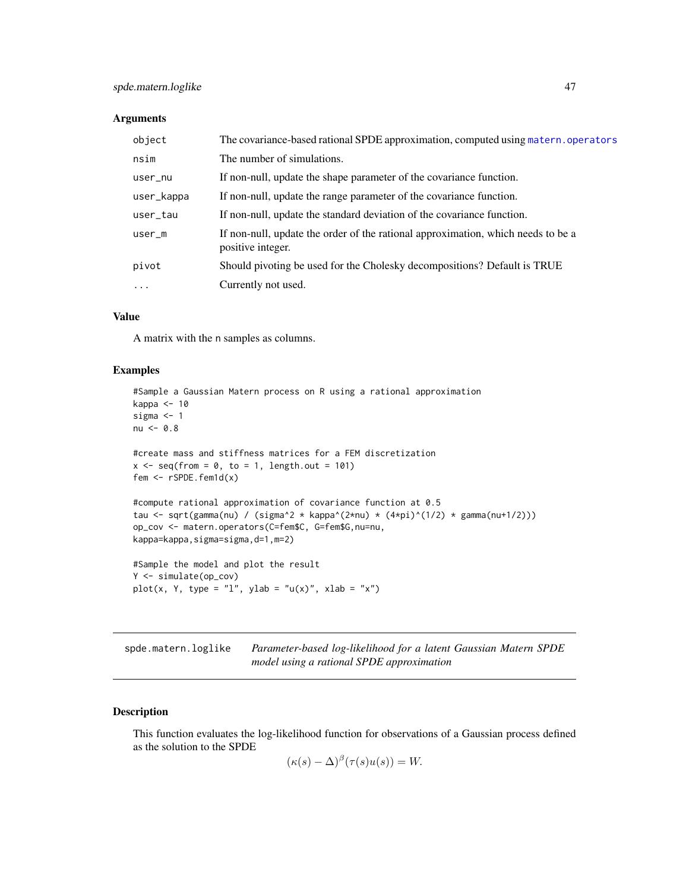#### <span id="page-46-0"></span>**Arguments**

| object     | The covariance-based rational SPDE approximation, computed using matern, operators                    |
|------------|-------------------------------------------------------------------------------------------------------|
| nsim       | The number of simulations.                                                                            |
| user_nu    | If non-null, update the shape parameter of the covariance function.                                   |
| user_kappa | If non-null, update the range parameter of the covariance function.                                   |
| user_tau   | If non-null, update the standard deviation of the covariance function.                                |
| $user_m$   | If non-null, update the order of the rational approximation, which needs to be a<br>positive integer. |
| pivot      | Should pivoting be used for the Cholesky decompositions? Default is TRUE                              |
| .          | Currently not used.                                                                                   |

# Value

A matrix with the n samples as columns.

#### Examples

```
#Sample a Gaussian Matern process on R using a rational approximation
kappa <- 10
sigma <-1nu < -0.8#create mass and stiffness matrices for a FEM discretization
x \leq - seq(from = 0, to = 1, length.out = 101)
fem <- rSPDE.fem1d(x)
#compute rational approximation of covariance function at 0.5
tau <- sqrt(gamma(nu) / (sigma^2 * kappa^(2*nu) * (4*pi)^(1/2) * gamma(nu+1/2)))
op_cov <- matern.operators(C=fem$C, G=fem$G,nu=nu,
kappa=kappa,sigma=sigma,d=1,m=2)
#Sample the model and plot the result
Y <- simulate(op_cov)
plot(x, Y, type = "l", ylab = "u(x)", xlab = "x")
```
<span id="page-46-1"></span>spde.matern.loglike *Parameter-based log-likelihood for a latent Gaussian Matern SPDE model using a rational SPDE approximation*

#### Description

This function evaluates the log-likelihood function for observations of a Gaussian process defined as the solution to the SPDE

$$
(\kappa(s) - \Delta)^{\beta}(\tau(s)u(s)) = W.
$$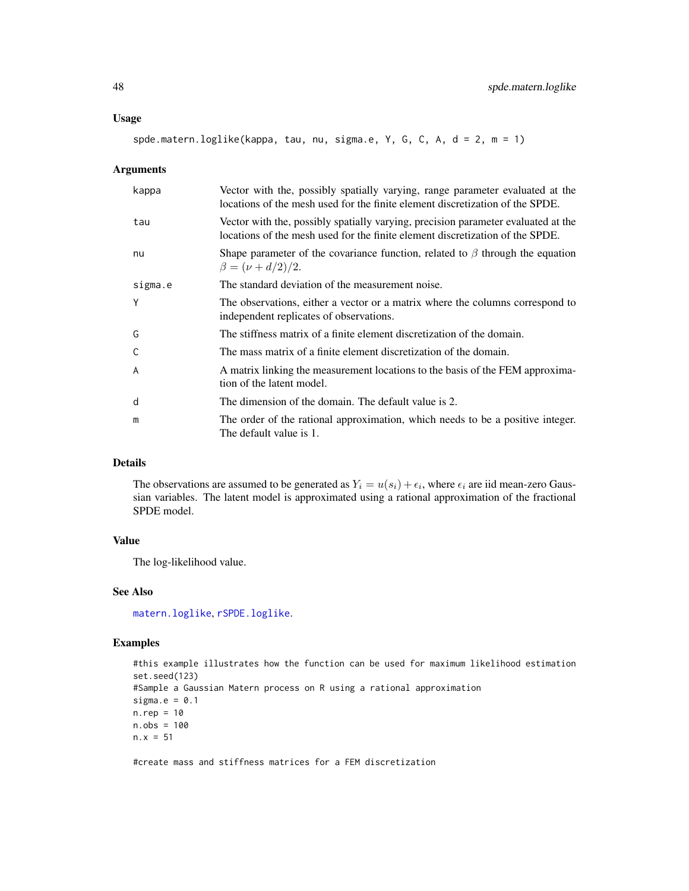#### <span id="page-47-0"></span>Usage

spde.matern.loglike(kappa, tau, nu, sigma.e, Y, G, C, A, d = 2, m = 1)

#### Arguments

| kappa   | Vector with the, possibly spatially varying, range parameter evaluated at the<br>locations of the mesh used for the finite element discretization of the SPDE.     |
|---------|--------------------------------------------------------------------------------------------------------------------------------------------------------------------|
| tau     | Vector with the, possibly spatially varying, precision parameter evaluated at the<br>locations of the mesh used for the finite element discretization of the SPDE. |
| nu      | Shape parameter of the covariance function, related to $\beta$ through the equation<br>$\beta = (\nu + d/2)/2.$                                                    |
| sigma.e | The standard deviation of the measurement noise.                                                                                                                   |
| Y       | The observations, either a vector or a matrix where the columns correspond to<br>independent replicates of observations.                                           |
| G       | The stiffness matrix of a finite element discretization of the domain.                                                                                             |
| C       | The mass matrix of a finite element discretization of the domain.                                                                                                  |
| A       | A matrix linking the measurement locations to the basis of the FEM approxima-<br>tion of the latent model.                                                         |
| d       | The dimension of the domain. The default value is 2.                                                                                                               |
| m       | The order of the rational approximation, which needs to be a positive integer.<br>The default value is 1.                                                          |

# Details

The observations are assumed to be generated as  $Y_i = u(s_i) + \epsilon_i$ , where  $\epsilon_i$  are iid mean-zero Gaussian variables. The latent model is approximated using a rational approximation of the fractional SPDE model.

#### Value

The log-likelihood value.

# See Also

[matern.loglike](#page-7-1), [rSPDE.loglike](#page-25-1).

# Examples

```
#this example illustrates how the function can be used for maximum likelihood estimation
set.seed(123)
#Sample a Gaussian Matern process on R using a rational approximation
sigma.e = 0.1n.rep = 10
n.obs = 100
n.x = 51
```
#create mass and stiffness matrices for a FEM discretization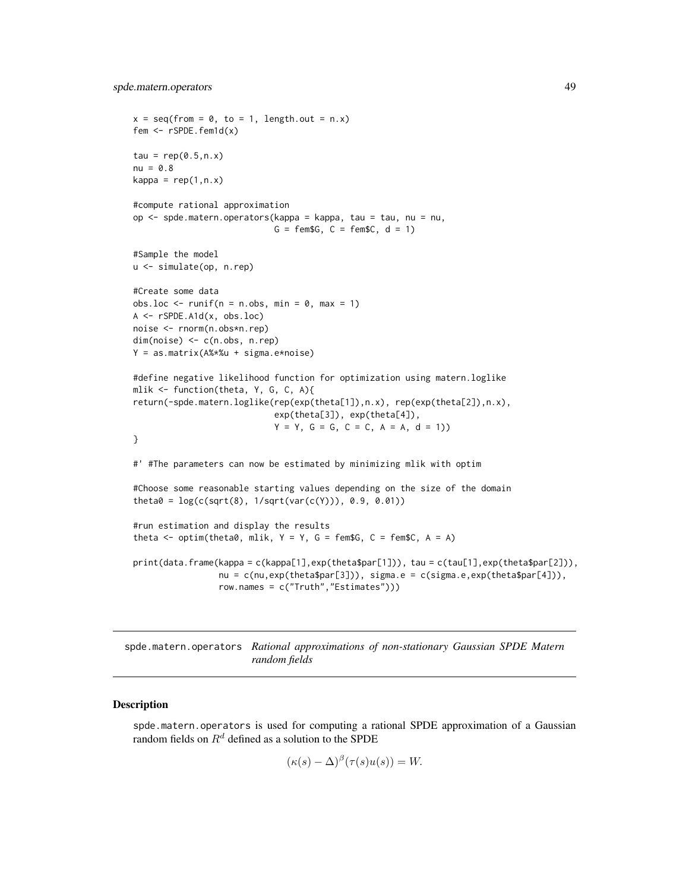```
x = \text{seq}(\text{from} = 0, \text{to} = 1, \text{length.out} = n.x)fem <- rSPDE.fem1d(x)
tau = rep(0.5, n.x)nu = 0.8kappa = rep(1, n.x)#compute rational approximation
op <- spde.matern.operators(kappa = kappa, tau = tau, nu = nu,
                             G = \text{fem}\G, C = \text{fem}\C, d = 1)
#Sample the model
u <- simulate(op, n.rep)
#Create some data
obs.loc \le runif(n = n.obs, min = 0, max = 1)
A <- rSPDE.A1d(x, obs.loc)
noise <- rnorm(n.obs*n.rep)
dim(noise) <- c(n.obs, n.rep)
Y = as.matrix(A%*%u + sigma.e*noise)
#define negative likelihood function for optimization using matern.loglike
mlik <- function(theta, Y, G, C, A){
return(-spde.matern.loglike(rep(exp(theta[1]),n.x), rep(exp(theta[2]),n.x),
                             exp(theta[3]), exp(theta[4]),
                             Y = Y, G = G, C = C, A = A, d = 1)
}
#' #The parameters can now be estimated by minimizing mlik with optim
#Choose some reasonable starting values depending on the size of the domain
theta0 = \log(c(sqrt(8), 1/sqrt(var(c(Y))), 0.9, 0.01))#run estimation and display the results
theta \leq optim(theta0, mlik, Y = Y, G = \text{fem$G}, C = \text{fem$C}, A = A)
print(data.frame(kappa = c(kappa[1],exp(theta$par[1])), tau = c(tau[1],exp(theta$par[2])),
                 nu = c(nu,exp(theta$par[3])), sigma.e = c(sigma.e,exp(theta$par[4])),
                 row.names = c("Truth","Estimates")))
```
<span id="page-48-1"></span>spde.matern.operators *Rational approximations of non-stationary Gaussian SPDE Matern random fields*

# Description

spde.matern.operators is used for computing a rational SPDE approximation of a Gaussian random fields on  $R<sup>d</sup>$  defined as a solution to the SPDE

$$
(\kappa(s) - \Delta)^{\beta}(\tau(s)u(s)) = W.
$$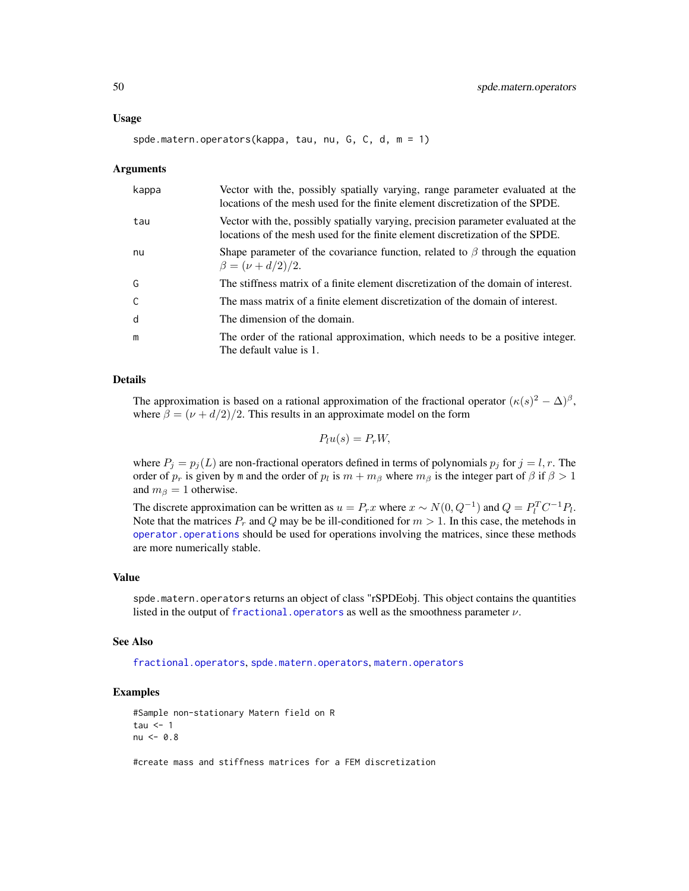<span id="page-49-0"></span>spde.matern.operators(kappa, tau, nu, G, C, d, m = 1)

#### Arguments

| kappa        | Vector with the, possibly spatially varying, range parameter evaluated at the<br>locations of the mesh used for the finite element discretization of the SPDE.     |
|--------------|--------------------------------------------------------------------------------------------------------------------------------------------------------------------|
| tau          | Vector with the, possibly spatially varying, precision parameter evaluated at the<br>locations of the mesh used for the finite element discretization of the SPDE. |
| nu           | Shape parameter of the covariance function, related to $\beta$ through the equation<br>$\beta = (\nu + d/2)/2.$                                                    |
| G            | The stiffness matrix of a finite element discretization of the domain of interest.                                                                                 |
| $\mathsf{C}$ | The mass matrix of a finite element discretization of the domain of interest.                                                                                      |
| d            | The dimension of the domain.                                                                                                                                       |
| m            | The order of the rational approximation, which needs to be a positive integer.<br>The default value is 1.                                                          |

#### Details

The approximation is based on a rational approximation of the fractional operator  $(\kappa(s)^2 - \Delta)^{\beta}$ , where  $\beta = (\nu + d/2)/2$ . This results in an approximate model on the form

$$
P_l u(s) = P_r W,
$$

where  $P_j = p_j(L)$  are non-fractional operators defined in terms of polynomials  $p_j$  for  $j = l, r$ . The order of  $p_r$  is given by m and the order of  $p_l$  is  $m + m_\beta$  where  $m_\beta$  is the integer part of  $\beta$  if  $\beta > 1$ and  $m_\beta = 1$  otherwise.

The discrete approximation can be written as  $u = P_rx$  where  $x \sim N(0, Q^{-1})$  and  $Q = P_l^T C^{-1} P_l$ . Note that the matrices  $P_r$  and Q may be be ill-conditioned for  $m > 1$ . In this case, the metehods in [operator.operations](#page-14-1) should be used for operations involving the matrices, since these methods are more numerically stable.

#### Value

spde.matern.operators returns an object of class "rSPDEobj. This object contains the quantities listed in the output of [fractional.operators](#page-3-1) as well as the smoothness parameter  $\nu$ .

#### See Also

[fractional.operators](#page-3-1), [spde.matern.operators](#page-48-1), [matern.operators](#page-11-1)

# Examples

```
#Sample non-stationary Matern field on R
tau \leq -1nu < -0.8
```
#create mass and stiffness matrices for a FEM discretization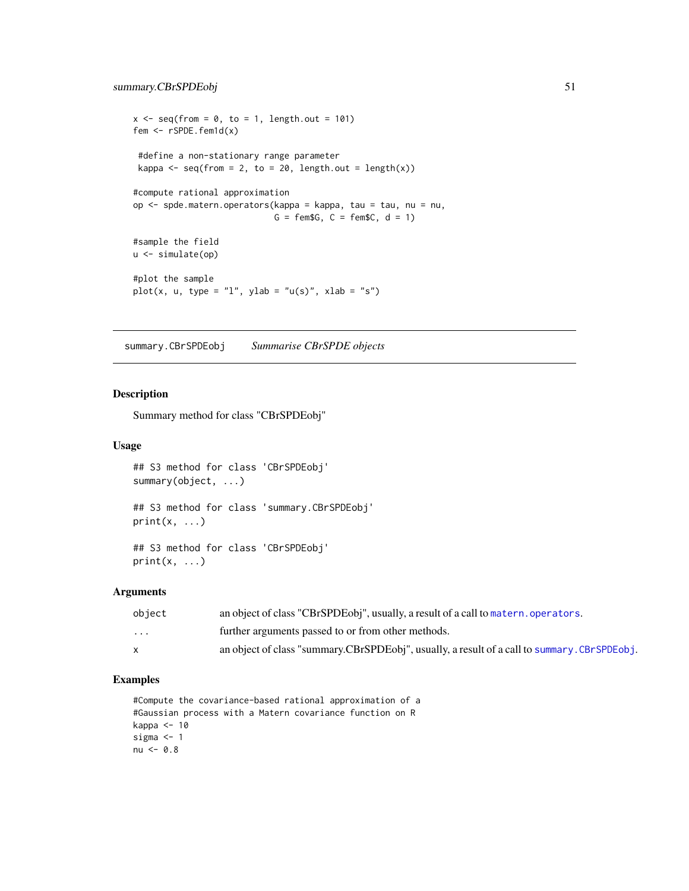```
x \le - seq(from = 0, to = 1, length.out = 101)
fem <- rSPDE.fem1d(x)
 #define a non-stationary range parameter
 kappa \leq seq(from = 2, to = 20, length.out = length(x))
#compute rational approximation
op <- spde.matern.operators(kappa = kappa, tau = tau, nu = nu,
                             G = \text{fem}\G, C = \text{fem}\C, d = 1)
#sample the field
u <- simulate(op)
#plot the sample
plot(x, u, type = "l", ylab = "u(s)", xlab = "s")
```
<span id="page-50-1"></span>summary.CBrSPDEobj *Summarise CBrSPDE objects*

#### Description

Summary method for class "CBrSPDEobj"

# Usage

```
## S3 method for class 'CBrSPDEobj'
summary(object, ...)
## S3 method for class 'summary.CBrSPDEobj'
print(x, \ldots)## S3 method for class 'CBrSPDEobj'
print(x, \ldots)
```
#### Arguments

| object                  | an object of class "CBrSPDEobj", usually, a result of a call to matern. operators.          |
|-------------------------|---------------------------------------------------------------------------------------------|
| $\cdot$ $\cdot$ $\cdot$ | further arguments passed to or from other methods.                                          |
|                         | an object of class "summary.CBrSPDEobj", usually, a result of a call to summary.CBrSPDEobj. |

```
#Compute the covariance-based rational approximation of a
#Gaussian process with a Matern covariance function on R
kappa <- 10
sigma <-1nu < -0.8
```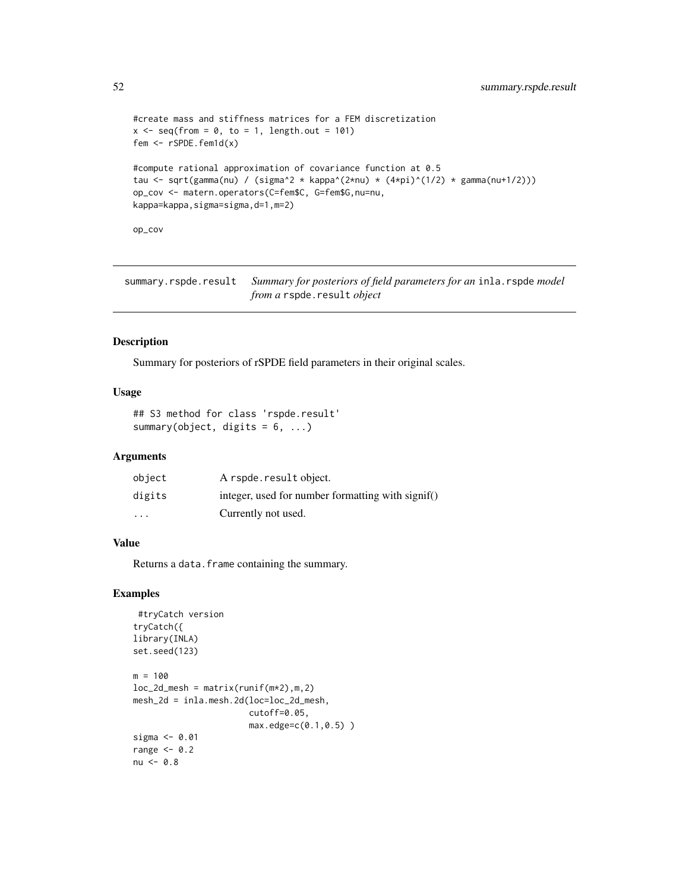```
#create mass and stiffness matrices for a FEM discretization
x \le - seq(from = 0, to = 1, length.out = 101)
fem <- rSPDE.fem1d(x)
#compute rational approximation of covariance function at 0.5
tau <- sqrt(gamma(nu) / (sigma^2 * kappa^(2*nu) * (4*pi)^(1/2) * gamma(nu+1/2)))
op_cov <- matern.operators(C=fem$C, G=fem$G,nu=nu,
kappa=kappa,sigma=sigma,d=1,m=2)
```
op\_cov

summary.rspde.result *Summary for posteriors of field parameters for an* inla.rspde *model from a* rspde.result *object*

# Description

Summary for posteriors of rSPDE field parameters in their original scales.

#### Usage

```
## S3 method for class 'rspde.result'
summary(object, digits = 6, ...)
```
#### Arguments

| object                  | A rspde.result object.                            |
|-------------------------|---------------------------------------------------|
| digits                  | integer, used for number formatting with signif() |
| $\cdot$ $\cdot$ $\cdot$ | Currently not used.                               |

#### Value

Returns a data. frame containing the summary.

```
#tryCatch version
tryCatch({
library(INLA)
set.seed(123)
m = 100loc_2d_mesh = matrix(runif(m*2),m,2)mesh_2d = inla.mesh.2d(loc=loc_2d_mesh,
                      cutoff=0.05,
                      max.edge=c(0.1,0.5) )
sigma <- 0.01
range <-0.2nu < -0.8
```
<span id="page-51-0"></span>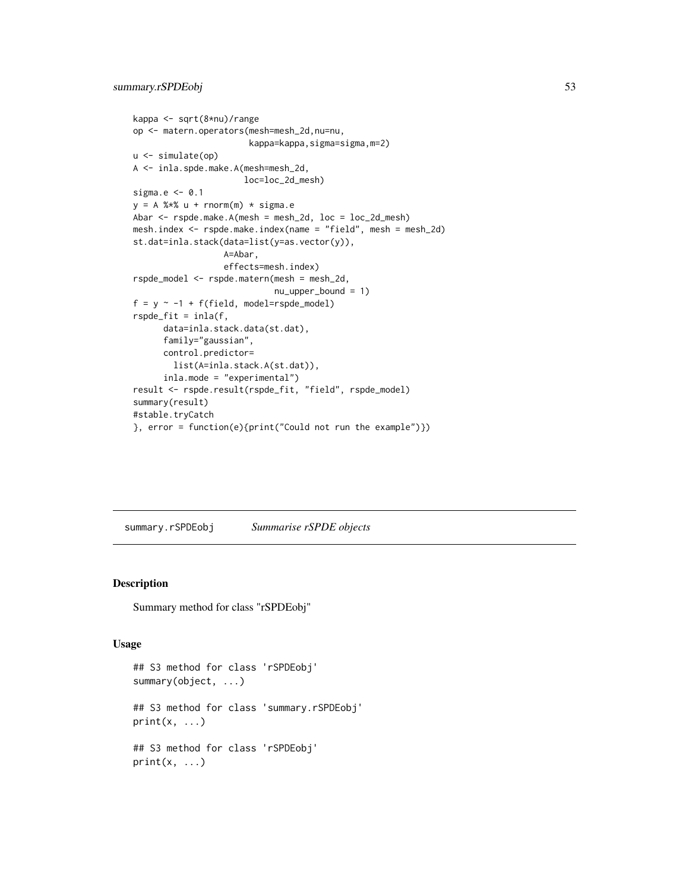```
kappa <- sqrt(8*nu)/range
op <- matern.operators(mesh=mesh_2d,nu=nu,
                       kappa=kappa,sigma=sigma,m=2)
u <- simulate(op)
A <- inla.spde.make.A(mesh=mesh_2d,
                      loc=loc_2d_mesh)
sigma.e <- 0.1
y = A %*% u + rnorm(m) * sigma.eAbar <- rspde.make.A(mesh = mesh_2d, loc = loc_2d_mesh)
mesh.index <- rspde.make.index(name = "field", mesh = mesh_2d)
st.dat=inla.stack(data=list(y=as.vector(y)),
                  A=Abar,
                  effects=mesh.index)
rspde_model <- rspde.matern(mesh = mesh_2d,
                            nu_upper_bound = 1)
f = y \sim -1 + f(field, model = rspde_model)rspde_fit = inla(f,
      data=inla.stack.data(st.dat),
      family="gaussian",
      control.predictor=
        list(A=inla.stack.A(st.dat)),
      inla.mode = "experimental")
result <- rspde.result(rspde_fit, "field", rspde_model)
summary(result)
#stable.tryCatch
}, error = function(e){print("Could not run the example")})
```
<span id="page-52-1"></span>summary.rSPDEobj *Summarise rSPDE objects*

# Description

Summary method for class "rSPDEobj"

#### Usage

```
## S3 method for class 'rSPDEobj'
summary(object, ...)
## S3 method for class 'summary.rSPDEobj'
print(x, \ldots)## S3 method for class 'rSPDEobj'
print(x, \ldots)
```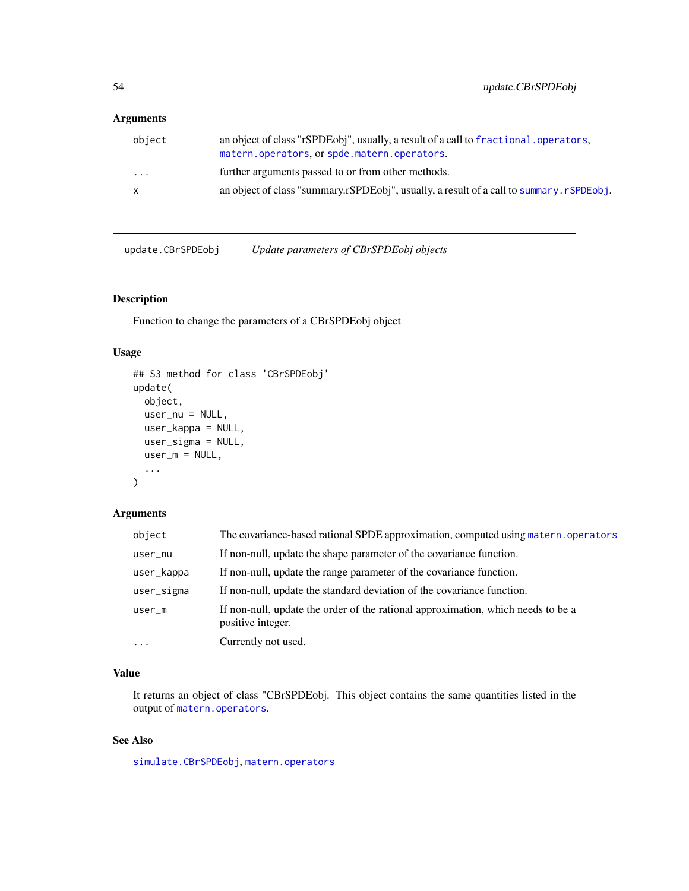# <span id="page-53-0"></span>Arguments

| object       | an object of class "rSPDEobj", usually, a result of a call to fractional, operators,<br>matern.operators.or spde.matern.operators. |
|--------------|------------------------------------------------------------------------------------------------------------------------------------|
| $\cdots$     | further arguments passed to or from other methods.                                                                                 |
| $\mathsf{x}$ | an object of class "summary.rSPDEobj", usually, a result of a call to summary.rSPDEobj.                                            |

update.CBrSPDEobj *Update parameters of CBrSPDEobj objects*

# Description

Function to change the parameters of a CBrSPDEobj object

# Usage

```
## S3 method for class 'CBrSPDEobj'
update(
 object,
 user_nu = NULL,
 user_kappa = NULL,
 user_sigma = NULL,
 user_m = NULL,...
)
```
# Arguments

| object     | The covariance-based rational SPDE approximation, computed using matern, operators                    |
|------------|-------------------------------------------------------------------------------------------------------|
| user_nu    | If non-null, update the shape parameter of the covariance function.                                   |
| user_kappa | If non-null, update the range parameter of the covariance function.                                   |
| user_sigma | If non-null, update the standard deviation of the covariance function.                                |
| $user_m$   | If non-null, update the order of the rational approximation, which needs to be a<br>positive integer. |
| $\cdot$    | Currently not used.                                                                                   |

# Value

It returns an object of class "CBrSPDEobj. This object contains the same quantities listed in the output of [matern.operators](#page-11-1).

# See Also

[simulate.CBrSPDEobj](#page-45-1), [matern.operators](#page-11-1)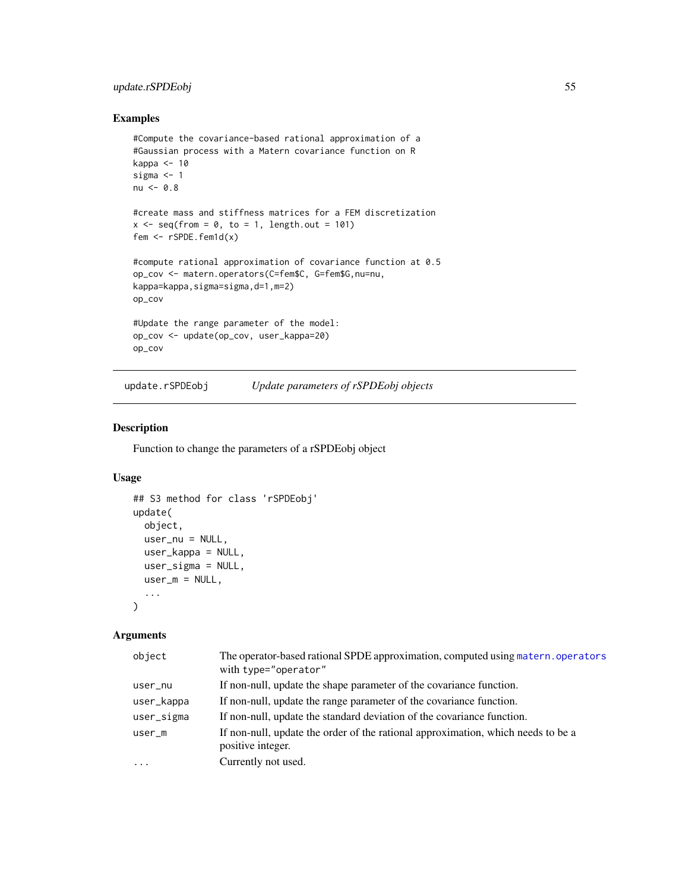# <span id="page-54-0"></span>update.rSPDEobj 55

# Examples

```
#Compute the covariance-based rational approximation of a
#Gaussian process with a Matern covariance function on R
kappa <-10sigma <-1nu < -0.8#create mass and stiffness matrices for a FEM discretization
x \le - seq(from = 0, to = 1, length.out = 101)
fem <- rSPDE.fem1d(x)
#compute rational approximation of covariance function at 0.5
op_cov <- matern.operators(C=fem$C, G=fem$G,nu=nu,
kappa=kappa,sigma=sigma,d=1,m=2)
op_cov
#Update the range parameter of the model:
op_cov <- update(op_cov, user_kappa=20)
op_cov
```
update.rSPDEobj *Update parameters of rSPDEobj objects*

# Description

Function to change the parameters of a rSPDEobj object

#### Usage

```
## S3 method for class 'rSPDEobj'
update(
 object,
 user_nu = NULL,
 user_kappa = NULL,
 user_sigma = NULL,
 user_m = NULL,...
)
```
# Arguments

| object     | The operator-based rational SPDE approximation, computed using matern, operators<br>with type="operator" |
|------------|----------------------------------------------------------------------------------------------------------|
| user_nu    | If non-null, update the shape parameter of the covariance function.                                      |
| user_kappa | If non-null, update the range parameter of the covariance function.                                      |
| user_sigma | If non-null, update the standard deviation of the covariance function.                                   |
| $user_m$   | If non-null, update the order of the rational approximation, which needs to be a<br>positive integer.    |
| $\ddotsc$  | Currently not used.                                                                                      |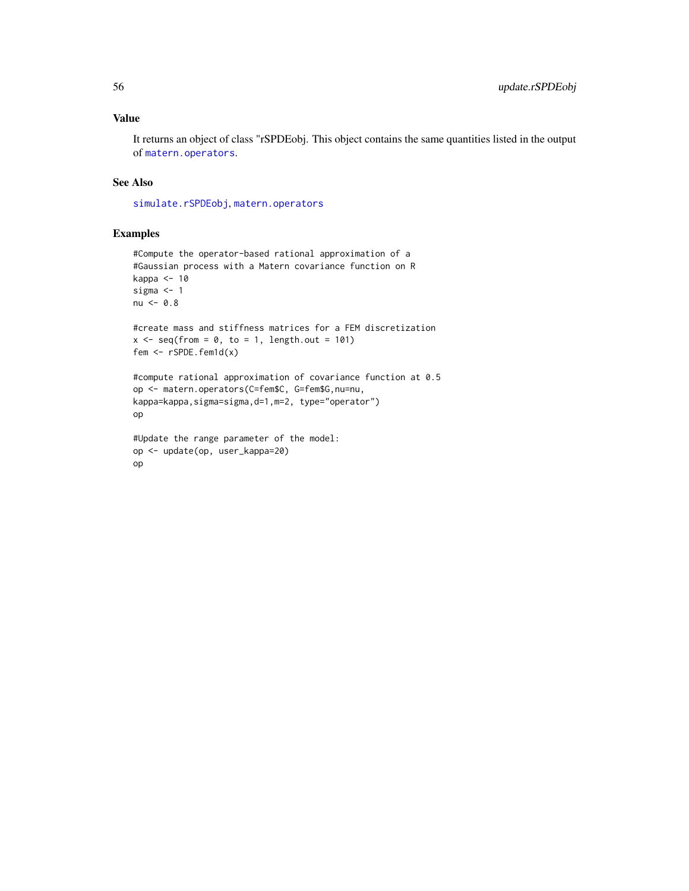# <span id="page-55-0"></span>Value

It returns an object of class "rSPDEobj. This object contains the same quantities listed in the output of [matern.operators](#page-11-1).

# See Also

[simulate.rSPDEobj](#page-44-1), [matern.operators](#page-11-1)

```
#Compute the operator-based rational approximation of a
#Gaussian process with a Matern covariance function on R
kappa <- 10
sigma <- 1
nu < -0.8#create mass and stiffness matrices for a FEM discretization
x \leq - seq(from = 0, to = 1, length.out = 101)
fem <- rSPDE.fem1d(x)
#compute rational approximation of covariance function at 0.5
op <- matern.operators(C=fem$C, G=fem$G,nu=nu,
kappa=kappa,sigma=sigma,d=1,m=2, type="operator")
op
#Update the range parameter of the model:
op <- update(op, user_kappa=20)
op
```